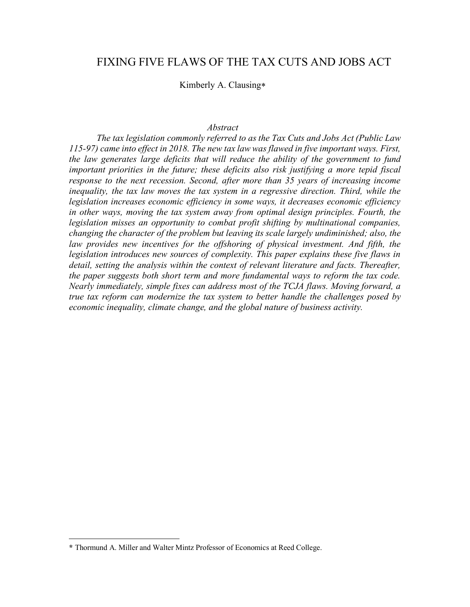# FIXING FIVE FLAWS OF THE TAX CUTS AND JOBS ACT

Kimberly A. Clausing\*

#### *Abstract*

*The tax legislation commonly referred to as the Tax Cuts and Jobs Act (Public Law 115-97) came into effect in 2018. The new tax law was flawed in five important ways. First, the law generates large deficits that will reduce the ability of the government to fund important priorities in the future; these deficits also risk justifying a more tepid fiscal response to the next recession. Second, after more than 35 years of increasing income inequality, the tax law moves the tax system in a regressive direction. Third, while the legislation increases economic efficiency in some ways, it decreases economic efficiency*  in other ways, moving the tax system away from optimal design principles. Fourth, the *legislation misses an opportunity to combat profit shifting by multinational companies, changing the character of the problem but leaving its scale largely undiminished; also, the*  law provides new incentives for the offshoring of physical investment. And fifth, the *legislation introduces new sources of complexity. This paper explains these five flaws in detail, setting the analysis within the context of relevant literature and facts. Thereafter, the paper suggests both short term and more fundamental ways to reform the tax code. Nearly immediately, simple fixes can address most of the TCJA flaws. Moving forward, a true tax reform can modernize the tax system to better handle the challenges posed by economic inequality, climate change, and the global nature of business activity.* 

 $\overline{a}$ 

**<sup>\*</sup>** Thormund A. Miller and Walter Mintz Professor of Economics at Reed College.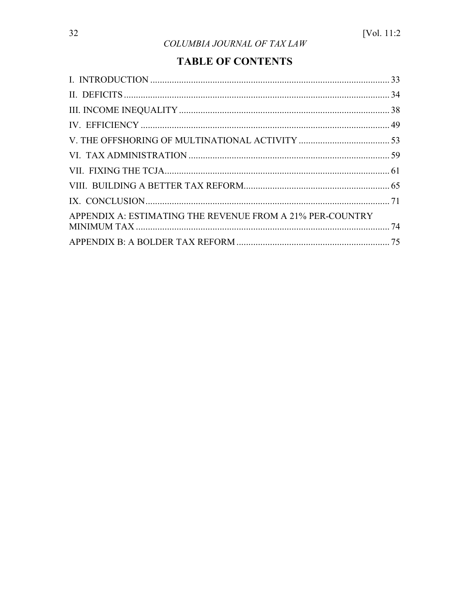# **TABLE OF CONTENTS**

| APPENDIX A: ESTIMATING THE REVENUE FROM A 21% PER-COUNTRY |  |
|-----------------------------------------------------------|--|
|                                                           |  |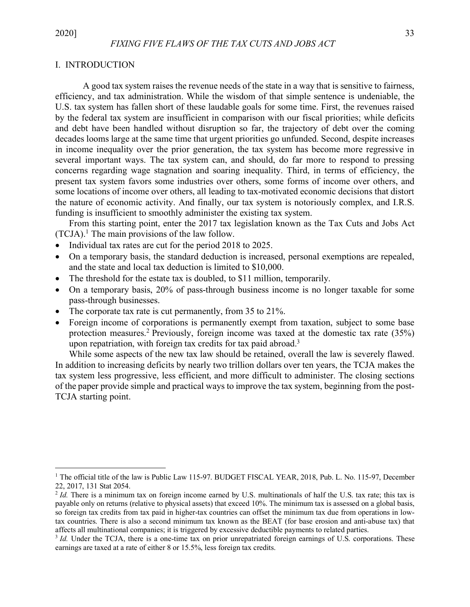# I. INTRODUCTION

A good tax system raises the revenue needs of the state in a way that is sensitive to fairness, efficiency, and tax administration. While the wisdom of that simple sentence is undeniable, the U.S. tax system has fallen short of these laudable goals for some time. First, the revenues raised by the federal tax system are insufficient in comparison with our fiscal priorities; while deficits and debt have been handled without disruption so far, the trajectory of debt over the coming decades looms large at the same time that urgent priorities go unfunded. Second, despite increases in income inequality over the prior generation, the tax system has become more regressive in several important ways. The tax system can, and should, do far more to respond to pressing concerns regarding wage stagnation and soaring inequality. Third, in terms of efficiency, the present tax system favors some industries over others, some forms of income over others, and some locations of income over others, all leading to tax-motivated economic decisions that distort the nature of economic activity. And finally, our tax system is notoriously complex, and I.R.S. funding is insufficient to smoothly administer the existing tax system.

From this starting point, enter the 2017 tax legislation known as the Tax Cuts and Jobs Act  $(TCJA).<sup>1</sup>$  The main provisions of the law follow.

- Individual tax rates are cut for the period 2018 to 2025.
- On a temporary basis, the standard deduction is increased, personal exemptions are repealed, and the state and local tax deduction is limited to \$10,000.
- The threshold for the estate tax is doubled, to \$11 million, temporarily.
- On a temporary basis, 20% of pass-through business income is no longer taxable for some pass-through businesses.
- The corporate tax rate is cut permanently, from 35 to 21%.
- Foreign income of corporations is permanently exempt from taxation, subject to some base protection measures.<sup>2</sup> Previously, foreign income was taxed at the domestic tax rate  $(35%)$ upon repatriation, with foreign tax credits for tax paid abroad.<sup>3</sup>

While some aspects of the new tax law should be retained, overall the law is severely flawed. In addition to increasing deficits by nearly two trillion dollars over ten years, the TCJA makes the tax system less progressive, less efficient, and more difficult to administer. The closing sections of the paper provide simple and practical ways to improve the tax system, beginning from the post-TCJA starting point.

<sup>&</sup>lt;sup>1</sup> The official title of the law is Public Law 115-97. BUDGET FISCAL YEAR, 2018, Pub. L. No. 115-97, December 22, 2017, 131 Stat 2054.

<sup>&</sup>lt;sup>2</sup> *Id.* There is a minimum tax on foreign income earned by U.S. multinationals of half the U.S. tax rate; this tax is payable only on returns (relative to physical assets) that exceed 10%. The minimum tax is assessed on a global basis, so foreign tax credits from tax paid in higher-tax countries can offset the minimum tax due from operations in lowtax countries. There is also a second minimum tax known as the BEAT (for base erosion and anti-abuse tax) that affects all multinational companies; it is triggered by excessive deductible payments to related parties.<br> $3 \text{ Id.}$  Under the TCJA, there is a one-time tax on prior unrepatriated foreign earnings of U.S. corporations. The

earnings are taxed at a rate of either 8 or 15.5%, less foreign tax credits.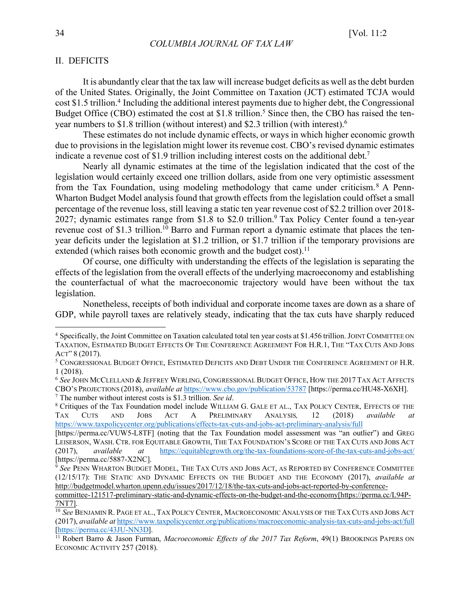# II. DEFICITS

It is abundantly clear that the tax law will increase budget deficits as well as the debt burden of the United States. Originally, the Joint Committee on Taxation (JCT) estimated TCJA would cost \$1.5 trillion.<sup>4</sup> Including the additional interest payments due to higher debt, the Congressional Budget Office (CBO) estimated the cost at \$1.8 trillion.<sup>5</sup> Since then, the CBO has raised the tenyear numbers to \$1.8 trillion (without interest) and \$2.3 trillion (with interest).6

These estimates do not include dynamic effects, or ways in which higher economic growth due to provisions in the legislation might lower its revenue cost. CBO's revised dynamic estimates indicate a revenue cost of \$1.9 trillion including interest costs on the additional debt.<sup>7</sup>

Nearly all dynamic estimates at the time of the legislation indicated that the cost of the legislation would certainly exceed one trillion dollars, aside from one very optimistic assessment from the Tax Foundation, using modeling methodology that came under criticism.<sup>8</sup> A Penn-Wharton Budget Model analysis found that growth effects from the legislation could offset a small percentage of the revenue loss, still leaving a static ten year revenue cost of \$2.2 trillion over 2018- 2027; dynamic estimates range from \$1.8 to \$2.0 trillion.<sup>9</sup> Tax Policy Center found a ten-year revenue cost of \$1.3 trillion.10 Barro and Furman report a dynamic estimate that places the tenyear deficits under the legislation at \$1.2 trillion, or \$1.7 trillion if the temporary provisions are extended (which raises both economic growth and the budget cost).<sup>11</sup>

Of course, one difficulty with understanding the effects of the legislation is separating the effects of the legislation from the overall effects of the underlying macroeconomy and establishing the counterfactual of what the macroeconomic trajectory would have been without the tax legislation.

Nonetheless, receipts of both individual and corporate income taxes are down as a share of GDP, while payroll taxes are relatively steady, indicating that the tax cuts have sharply reduced

 <sup>4</sup> Specifically, the Joint Committee on Taxation calculated total ten year costs at \$1.456 trillion. JOINT COMMITTEE ON TAXATION, ESTIMATED BUDGET EFFECTS OF THE CONFERENCE AGREEMENT FOR H.R.1, THE "TAX CUTS AND JOBS ACT" 8 (2017).<br><sup>5</sup> Congressional Budget Office, Estimated Deficits and Debt Under the Conference Agreement of H.R.

<sup>1</sup> (2018).

<sup>6</sup> *See* JOHN MCCLELLAND & JEFFREY WERLING, CONGRESSIONAL BUDGET OFFICE, HOW THE 2017 TAX ACT AFFECTS CBO'S PROJECTIONS (2018), *available at* https://www.cbo.gov/publication/53787 [https://perma.cc/HU48-X6XH].

<sup>&</sup>lt;sup>7</sup> The number without interest costs is \$1.3 trillion. *See id*. 8 Critiques of the Tax Foundation model include WILLIAM G. GALE ET AL., TAX POLICY CENTER, EFFECTS OF THE TAX CUTS AND JOBS ACT A PRELIMINARY ANALYSIS*,* 12 (2018) *available at* https://www.taxpolicycenter.org/publications/effects-tax-cuts-and-jobs-act-preliminary-analysis/full

<sup>[</sup>https://perma.cc/VUW5-L8TF] (noting that the Tax Foundation model assessment was "an outlier") and GREG LEISERSON, WASH. CTR. FOR EQUITABLE GROWTH, THE TAX FOUNDATION'S SCORE OF THE TAX CUTS AND JOBS ACT (2017), *available at* https://equitablegrowth.org/the-tax-foundations-score-of-the-tax-cuts-and-jobs-act/ [https://perma.cc/5887-X2NC].

<sup>&</sup>lt;sup>9</sup> See PENN WHARTON BUDGET MODEL, THE TAX CUTS AND JOBS ACT, AS REPORTED BY CONFERENCE COMMITTEE (12/15/17): THE STATIC AND DYNAMIC EFFECTS ON THE BUDGET AND THE ECONOMY (2017), *available at*  http://budgetmodel.wharton.upenn.edu/issues/2017/12/18/the-tax-cuts-and-jobs-act-reported-by-conference-

committee-121517-preliminary-static-and-dynamic-effects-on-the-budget-and-the-economy[https://perma.cc/L94P-7NT7].

<sup>&</sup>lt;sup>10</sup> See BENJAMIN R. PAGE ET AL., TAX POLICY CENTER, MACROECONOMIC ANALYSIS OF THE TAX CUTS AND JOBS ACT (2017), *available at* https://www.taxpolicycenter.org/publications/macroeconomic-analysis-tax-cuts-and-jobs-act/full [https://perma.cc/43JU-NN3D].

<sup>&</sup>lt;sup>11</sup> Robert Barro & Jason Furman, *Macroeconomic Effects of the 2017 Tax Reform*, 49(1) BROOKINGS PAPERS ON ECONOMIC ACTIVITY 257 (2018).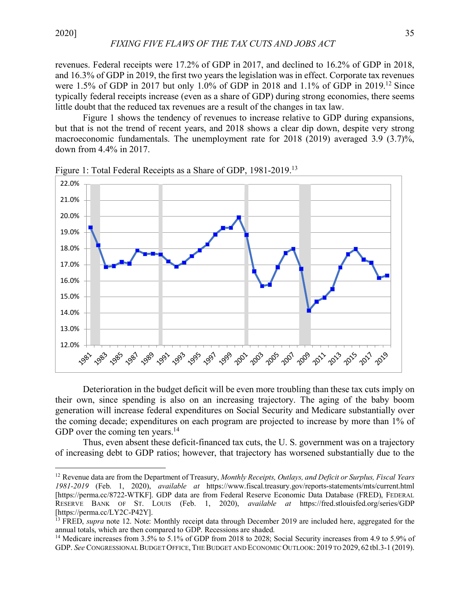revenues. Federal receipts were 17.2% of GDP in 2017, and declined to 16.2% of GDP in 2018, and 16.3% of GDP in 2019, the first two years the legislation was in effect. Corporate tax revenues were 1.5% of GDP in 2017 but only 1.0% of GDP in 2018 and 1.1% of GDP in 2019.12 Since typically federal receipts increase (even as a share of GDP) during strong economies, there seems little doubt that the reduced tax revenues are a result of the changes in tax law.

Figure 1 shows the tendency of revenues to increase relative to GDP during expansions, but that is not the trend of recent years, and 2018 shows a clear dip down, despite very strong macroeconomic fundamentals. The unemployment rate for 2018 (2019) averaged 3.9 (3.7)%, down from 4.4% in 2017.



Figure 1: Total Federal Receipts as a Share of GDP, 1981-2019.<sup>13</sup>

Deterioration in the budget deficit will be even more troubling than these tax cuts imply on their own, since spending is also on an increasing trajectory. The aging of the baby boom generation will increase federal expenditures on Social Security and Medicare substantially over the coming decade; expenditures on each program are projected to increase by more than 1% of GDP over the coming ten years.<sup>14</sup>

Thus, even absent these deficit-financed tax cuts, the U. S. government was on a trajectory of increasing debt to GDP ratios; however, that trajectory has worsened substantially due to the

 <sup>12</sup> Revenue data are from the Department of Treasury, *Monthly Receipts, Outlays, and Deficit or Surplus, Fiscal Years 1981-2019* (Feb. 1, 2020), *available at* https://www.fiscal.treasury.gov/reports-statements/mts/current.html [https://perma.cc/8722-WTKF]. GDP data are from Federal Reserve Economic Data Database (FRED), FEDERAL RESERVE BANK OF ST. LOUIS (Feb. 1, 2020), *available at* https://fred.stlouisfed.org/series/GDP [https://perma.cc/LY2C-P42Y].

<sup>&</sup>lt;sup>13</sup> FRED, *supra* note 12. Note: Monthly receipt data through December 2019 are included here, aggregated for the annual totals, which are then compared to GDP. Recessions are shaded.

<sup>&</sup>lt;sup>14</sup> Medicare increases from 3.5% to 5.1% of GDP from 2018 to 2028; Social Security increases from 4.9 to 5.9% of GDP. *See* CONGRESSIONAL BUDGET OFFICE, THE BUDGET AND ECONOMIC OUTLOOK: 2019 TO 2029, 62 tbl.3-1 (2019).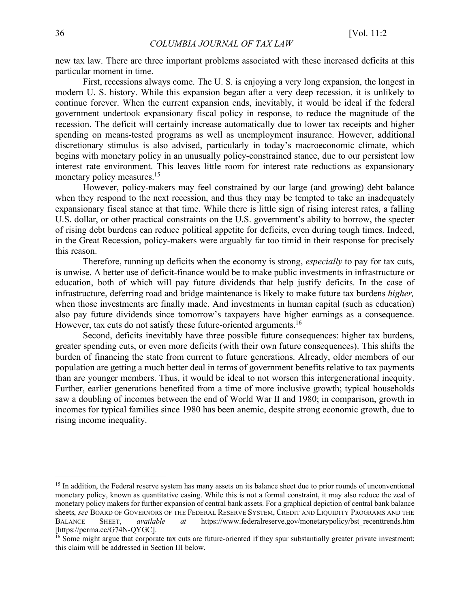new tax law. There are three important problems associated with these increased deficits at this particular moment in time.

First, recessions always come. The U. S. is enjoying a very long expansion, the longest in modern U. S. history. While this expansion began after a very deep recession, it is unlikely to continue forever. When the current expansion ends, inevitably, it would be ideal if the federal government undertook expansionary fiscal policy in response, to reduce the magnitude of the recession. The deficit will certainly increase automatically due to lower tax receipts and higher spending on means-tested programs as well as unemployment insurance. However, additional discretionary stimulus is also advised, particularly in today's macroeconomic climate, which begins with monetary policy in an unusually policy-constrained stance, due to our persistent low interest rate environment. This leaves little room for interest rate reductions as expansionary monetary policy measures.<sup>15</sup>

However, policy-makers may feel constrained by our large (and growing) debt balance when they respond to the next recession, and thus they may be tempted to take an inadequately expansionary fiscal stance at that time. While there is little sign of rising interest rates, a falling U.S. dollar, or other practical constraints on the U.S. government's ability to borrow, the specter of rising debt burdens can reduce political appetite for deficits, even during tough times. Indeed, in the Great Recession, policy-makers were arguably far too timid in their response for precisely this reason.

Therefore, running up deficits when the economy is strong, *especially* to pay for tax cuts, is unwise. A better use of deficit-finance would be to make public investments in infrastructure or education, both of which will pay future dividends that help justify deficits. In the case of infrastructure, deferring road and bridge maintenance is likely to make future tax burdens *higher,*  when those investments are finally made. And investments in human capital (such as education) also pay future dividends since tomorrow's taxpayers have higher earnings as a consequence. However, tax cuts do not satisfy these future-oriented arguments.<sup>16</sup>

Second, deficits inevitably have three possible future consequences: higher tax burdens, greater spending cuts, or even more deficits (with their own future consequences). This shifts the burden of financing the state from current to future generations. Already, older members of our population are getting a much better deal in terms of government benefits relative to tax payments than are younger members. Thus, it would be ideal to not worsen this intergenerational inequity. Further, earlier generations benefited from a time of more inclusive growth; typical households saw a doubling of incomes between the end of World War II and 1980; in comparison, growth in incomes for typical families since 1980 has been anemic, despite strong economic growth, due to rising income inequality.

<sup>&</sup>lt;sup>15</sup> In addition, the Federal reserve system has many assets on its balance sheet due to prior rounds of unconventional monetary policy, known as quantitative easing. While this is not a formal constraint, it may also reduce the zeal of monetary policy makers for further expansion of central bank assets. For a graphical depiction of central bank balance sheets, *see* BOARD OF GOVERNORS OF THE FEDERAL RESERVE SYSTEM, CREDIT AND LIQUIDITY PROGRAMS AND THE BALANCE SHEET, *available at* https://www.federalreserve.gov/monetarypolicy/bst\_recenttrends.htm [https://perma.cc/G74N-OYGC].

<sup>&</sup>lt;sup>16</sup> Some might argue that corporate tax cuts are future-oriented if they spur substantially greater private investment; this claim will be addressed in Section III below.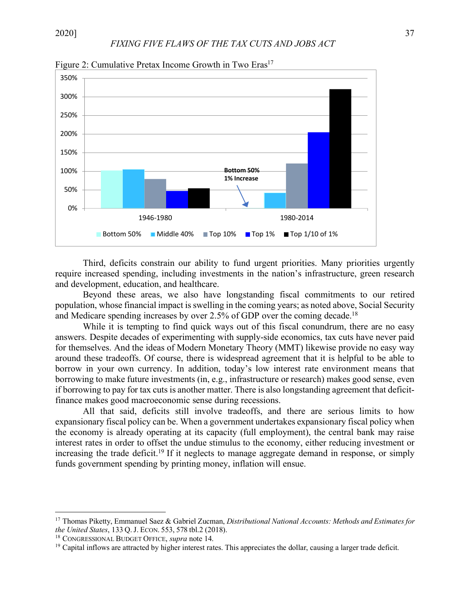

Figure 2: Cumulative Pretax Income Growth in Two Eras<sup>17</sup>

Third, deficits constrain our ability to fund urgent priorities. Many priorities urgently require increased spending, including investments in the nation's infrastructure, green research and development, education, and healthcare.

Beyond these areas, we also have longstanding fiscal commitments to our retired population, whose financial impact is swelling in the coming years; as noted above, Social Security and Medicare spending increases by over 2.5% of GDP over the coming decade.<sup>18</sup>

While it is tempting to find quick ways out of this fiscal conundrum, there are no easy answers. Despite decades of experimenting with supply-side economics, tax cuts have never paid for themselves. And the ideas of Modern Monetary Theory (MMT) likewise provide no easy way around these tradeoffs. Of course, there is widespread agreement that it is helpful to be able to borrow in your own currency. In addition, today's low interest rate environment means that borrowing to make future investments (in, e.g., infrastructure or research) makes good sense, even if borrowing to pay for tax cuts is another matter. There is also longstanding agreement that deficitfinance makes good macroeconomic sense during recessions.

All that said, deficits still involve tradeoffs, and there are serious limits to how expansionary fiscal policy can be. When a government undertakes expansionary fiscal policy when the economy is already operating at its capacity (full employment), the central bank may raise interest rates in order to offset the undue stimulus to the economy, either reducing investment or increasing the trade deficit.<sup>19</sup> If it neglects to manage aggregate demand in response, or simply funds government spending by printing money, inflation will ensue.

<sup>&</sup>lt;sup>17</sup> Thomas Piketty, Emmanuel Saez & Gabriel Zucman, *Distributional National Accounts: Methods and Estimates for the United States*, 133 O. J. Econ. 553, 578 tbl.2 (2018).

<sup>&</sup>lt;sup>18</sup> CONGRESSIONAL BUDGET OFFICE, *supra* note 14.

<sup>19</sup> Capital inflows are attracted by higher interest rates. This appreciates the dollar, causing a larger trade deficit.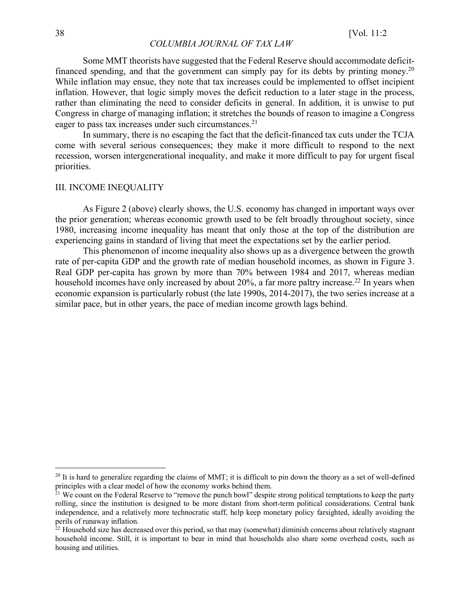Some MMT theorists have suggested that the Federal Reserve should accommodate deficitfinanced spending, and that the government can simply pay for its debts by printing money.20 While inflation may ensue, they note that tax increases could be implemented to offset incipient inflation. However, that logic simply moves the deficit reduction to a later stage in the process, rather than eliminating the need to consider deficits in general. In addition, it is unwise to put Congress in charge of managing inflation; it stretches the bounds of reason to imagine a Congress eager to pass tax increases under such circumstances.<sup>21</sup>

In summary, there is no escaping the fact that the deficit-financed tax cuts under the TCJA come with several serious consequences; they make it more difficult to respond to the next recession, worsen intergenerational inequality, and make it more difficult to pay for urgent fiscal priorities.

#### III. INCOME INEQUALITY

As Figure 2 (above) clearly shows, the U.S. economy has changed in important ways over the prior generation; whereas economic growth used to be felt broadly throughout society, since 1980, increasing income inequality has meant that only those at the top of the distribution are experiencing gains in standard of living that meet the expectations set by the earlier period.

This phenomenon of income inequality also shows up as a divergence between the growth rate of per-capita GDP and the growth rate of median household incomes, as shown in Figure 3. Real GDP per-capita has grown by more than 70% between 1984 and 2017, whereas median household incomes have only increased by about 20%, a far more paltry increase.<sup>22</sup> In years when economic expansion is particularly robust (the late 1990s, 2014-2017), the two series increase at a similar pace, but in other years, the pace of median income growth lags behind.

 $20$  It is hard to generalize regarding the claims of MMT; it is difficult to pin down the theory as a set of well-defined principles with a clear model of how the economy works behind them.

<sup>&</sup>lt;sup>21</sup> We count on the Federal Reserve to "remove the punch bowl" despite strong political temptations to keep the party rolling, since the institution is designed to be more distant from short-term political considerations. Central bank independence, and a relatively more technocratic staff, help keep monetary policy farsighted, ideally avoiding the perils of runaway inflation.

 $22$  Household size has decreased over this period, so that may (somewhat) diminish concerns about relatively stagnant household income. Still, it is important to bear in mind that households also share some overhead costs, such as housing and utilities.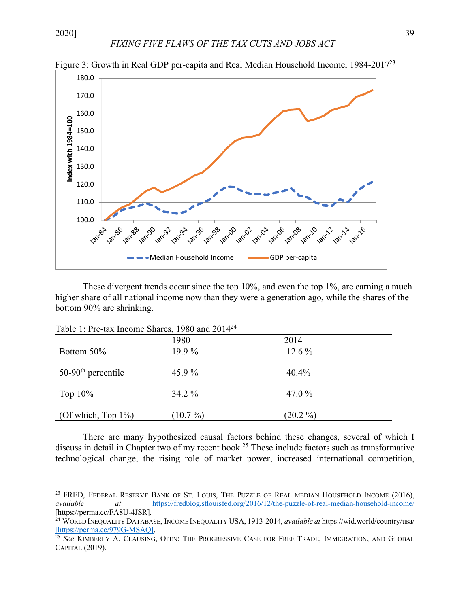*FIXING FIVE FLAWS OF THE TAX CUTS AND JOBS ACT*



Figure 3: Growth in Real GDP per-capita and Real Median Household Income, 1984-201723

These divergent trends occur since the top 10%, and even the top 1%, are earning a much higher share of all national income now than they were a generation ago, while the shares of the bottom 90% are shrinking.

| Table 1: Pre-tax Income Shares, 1980 and 2014 <sup>24</sup> |  |  |  |  |  |
|-------------------------------------------------------------|--|--|--|--|--|
|-------------------------------------------------------------|--|--|--|--|--|

|                        | 1980       | 2014       |  |
|------------------------|------------|------------|--|
| Bottom 50%             | $19.9\%$   | 12.6 %     |  |
| $50-90th$ percentile   | 45.9 $%$   | 40.4%      |  |
| Top $10\%$             | 34.2 %     | 47.0 $%$   |  |
| (Of which, Top $1\%$ ) | $(10.7\%)$ | $(20.2\%)$ |  |

There are many hypothesized causal factors behind these changes, several of which I discuss in detail in Chapter two of my recent book.<sup>25</sup> These include factors such as transformative technological change, the rising role of market power, increased international competition,

<sup>&</sup>lt;sup>23</sup> FRED, FEDERAL RESERVE BANK OF ST. LOUIS, THE PUZZLE OF REAL MEDIAN HOUSEHOLD INCOME (2016), *available at* https://fredblog.stlouisfed.org/2016/12/the-puzzle-of-real-median-household-income/ [https://perma.cc/FA8U-4JSR]. 24 WORLD INEQUALITY DATABASE, INCOME INEQUALITY USA, 1913-2014, *available at* https://wid.world/country/usa/

<sup>[</sup>https://perma.cc/979G-MSAQ]. 25 *See* KIMBERLY A. CLAUSING, OPEN: THE PROGRESSIVE CASE FOR FREE TRADE, IMMIGRATION, AND GLOBAL

CAPITAL (2019).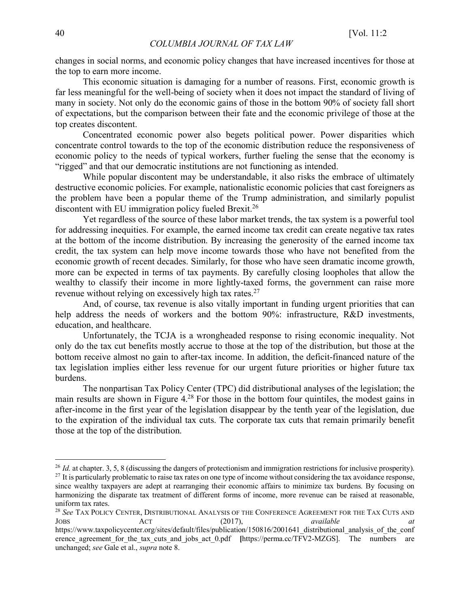changes in social norms, and economic policy changes that have increased incentives for those at the top to earn more income.

This economic situation is damaging for a number of reasons. First, economic growth is far less meaningful for the well-being of society when it does not impact the standard of living of many in society. Not only do the economic gains of those in the bottom 90% of society fall short of expectations, but the comparison between their fate and the economic privilege of those at the top creates discontent.

Concentrated economic power also begets political power. Power disparities which concentrate control towards to the top of the economic distribution reduce the responsiveness of economic policy to the needs of typical workers, further fueling the sense that the economy is "rigged" and that our democratic institutions are not functioning as intended.

While popular discontent may be understandable, it also risks the embrace of ultimately destructive economic policies. For example, nationalistic economic policies that cast foreigners as the problem have been a popular theme of the Trump administration, and similarly populist discontent with EU immigration policy fueled Brexit.<sup>26</sup>

Yet regardless of the source of these labor market trends, the tax system is a powerful tool for addressing inequities. For example, the earned income tax credit can create negative tax rates at the bottom of the income distribution. By increasing the generosity of the earned income tax credit, the tax system can help move income towards those who have not benefited from the economic growth of recent decades. Similarly, for those who have seen dramatic income growth, more can be expected in terms of tax payments. By carefully closing loopholes that allow the wealthy to classify their income in more lightly-taxed forms, the government can raise more revenue without relying on excessively high tax rates.<sup>27</sup>

And, of course, tax revenue is also vitally important in funding urgent priorities that can help address the needs of workers and the bottom 90%; infrastructure, R&D investments, education, and healthcare.

Unfortunately, the TCJA is a wrongheaded response to rising economic inequality. Not only do the tax cut benefits mostly accrue to those at the top of the distribution, but those at the bottom receive almost no gain to after-tax income. In addition, the deficit-financed nature of the tax legislation implies either less revenue for our urgent future priorities or higher future tax burdens.

The nonpartisan Tax Policy Center (TPC) did distributional analyses of the legislation; the main results are shown in Figure 4.28 For those in the bottom four quintiles, the modest gains in after-income in the first year of the legislation disappear by the tenth year of the legislation, due to the expiration of the individual tax cuts. The corporate tax cuts that remain primarily benefit those at the top of the distribution.

<sup>&</sup>lt;sup>26</sup> *Id.* at chapter. 3, 5, 8 (discussing the dangers of protectionism and immigration restrictions for inclusive prosperity).

<sup>&</sup>lt;sup>27</sup> It is particularly problematic to raise tax rates on one type of income without considering the tax avoidance response, since wealthy taxpayers are adept at rearranging their economic affairs to minimize tax burdens. By focusing on harmonizing the disparate tax treatment of different forms of income, more revenue can be raised at reasonable, uniform tax rates.<br><sup>28</sup> See TAX POLICY CENTER, DISTRIBUTIONAL ANALYSIS OF THE CONFERENCE AGREEMENT FOR THE TAX CUTS AND

JOBS ACT (2017), *available at*  https://www.taxpolicycenter.org/sites/default/files/publication/150816/2001641 distributional analysis of the conf erence agreement for the tax cuts and jobs act 0.pdf [https://perma.cc/TFV2-MZGS]. The numbers are unchanged; *see* Gale et al., *supra* note 8.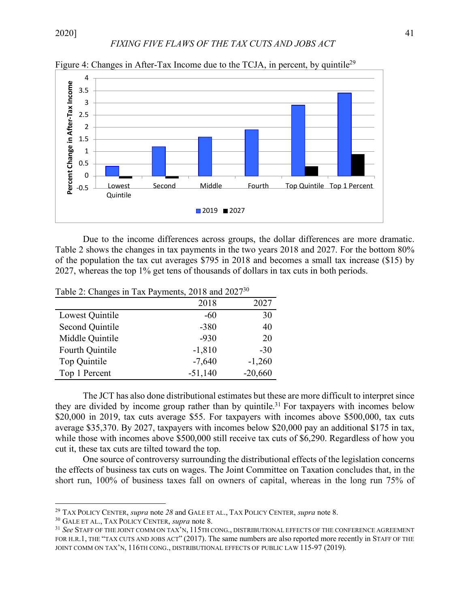# *FIXING FIVE FLAWS OF THE TAX CUTS AND JOBS ACT*



Figure 4: Changes in After-Tax Income due to the TCJA, in percent, by quintile<sup>29</sup>

Due to the income differences across groups, the dollar differences are more dramatic. Table 2 shows the changes in tax payments in the two years 2018 and 2027. For the bottom 80% of the population the tax cut averages \$795 in 2018 and becomes a small tax increase (\$15) by 2027, whereas the top 1% get tens of thousands of dollars in tax cuts in both periods.

|                        | 2018      | 2027      |
|------------------------|-----------|-----------|
| Lowest Quintile        | -60       | 30        |
| <b>Second Quintile</b> | $-380$    | 40        |
| Middle Quintile        | $-930$    | 20        |
| Fourth Quintile        | $-1,810$  | $-30$     |
| Top Quintile           | $-7,640$  | $-1,260$  |
| Top 1 Percent          | $-51,140$ | $-20,660$ |

Table 2: Changes in Tax Payments, 2018 and 202730

The JCT has also done distributional estimates but these are more difficult to interpret since they are divided by income group rather than by quintile.<sup>31</sup> For taxpayers with incomes below \$20,000 in 2019, tax cuts average \$55. For taxpayers with incomes above \$500,000, tax cuts average \$35,370. By 2027, taxpayers with incomes below \$20,000 pay an additional \$175 in tax, while those with incomes above \$500,000 still receive tax cuts of \$6,290. Regardless of how you cut it, these tax cuts are tilted toward the top.

One source of controversy surrounding the distributional effects of the legislation concerns the effects of business tax cuts on wages. The Joint Committee on Taxation concludes that, in the short run, 100% of business taxes fall on owners of capital, whereas in the long run 75% of

 <sup>29</sup> TAX POLICY CENTER, *supra* note *<sup>28</sup>*and GALE ET AL., TAX POLICY CENTER, *supra* note 8.

<sup>30</sup> GALE ET AL., TAX POLICY CENTER, *supra* note 8.

<sup>31</sup> *See* STAFF OF THE JOINT COMM ON TAX'N, 115TH CONG., DISTRIBUTIONAL EFFECTS OF THE CONFERENCE AGREEMENT FOR H.R.1, THE "TAX CUTS AND JOBS ACT" (2017). The same numbers are also reported more recently in STAFF OF THE JOINT COMM ON TAX'N, 116TH CONG., DISTRIBUTIONAL EFFECTS OF PUBLIC LAW 115-97 (2019).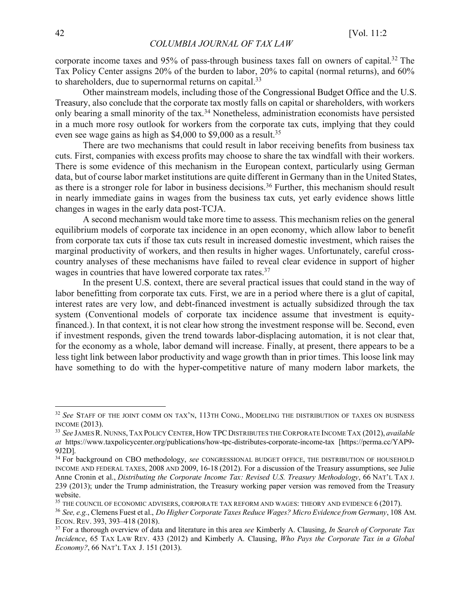corporate income taxes and 95% of pass-through business taxes fall on owners of capital.32 The Tax Policy Center assigns 20% of the burden to labor, 20% to capital (normal returns), and 60% to shareholders, due to supernormal returns on capital.<sup>33</sup>

Other mainstream models, including those of the Congressional Budget Office and the U.S. Treasury, also conclude that the corporate tax mostly falls on capital or shareholders, with workers only bearing a small minority of the tax.<sup>34</sup> Nonetheless, administration economists have persisted in a much more rosy outlook for workers from the corporate tax cuts, implying that they could even see wage gains as high as \$4,000 to \$9,000 as a result.<sup>35</sup>

There are two mechanisms that could result in labor receiving benefits from business tax cuts. First, companies with excess profits may choose to share the tax windfall with their workers. There is some evidence of this mechanism in the European context, particularly using German data, but of course labor market institutions are quite different in Germany than in the United States, as there is a stronger role for labor in business decisions.<sup>36</sup> Further, this mechanism should result in nearly immediate gains in wages from the business tax cuts, yet early evidence shows little changes in wages in the early data post-TCJA.

A second mechanism would take more time to assess. This mechanism relies on the general equilibrium models of corporate tax incidence in an open economy, which allow labor to benefit from corporate tax cuts if those tax cuts result in increased domestic investment, which raises the marginal productivity of workers, and then results in higher wages. Unfortunately, careful crosscountry analyses of these mechanisms have failed to reveal clear evidence in support of higher wages in countries that have lowered corporate tax rates.37

In the present U.S. context, there are several practical issues that could stand in the way of labor benefitting from corporate tax cuts. First, we are in a period where there is a glut of capital, interest rates are very low, and debt-financed investment is actually subsidized through the tax system (Conventional models of corporate tax incidence assume that investment is equityfinanced.). In that context, it is not clear how strong the investment response will be. Second, even if investment responds, given the trend towards labor-displacing automation, it is not clear that, for the economy as a whole, labor demand will increase. Finally, at present, there appears to be a less tight link between labor productivity and wage growth than in prior times. This loose link may have something to do with the hyper-competitive nature of many modern labor markets, the

 <sup>32</sup> *See* STAFF OF THE JOINT COMM ON TAX'N, 113TH CONG., MODELING THE DISTRIBUTION OF TAXES ON BUSINESS INCOME (2013).

<sup>33</sup> *See* JAMES R. NUNNS, TAX POLICY CENTER, HOW TPCDISTRIBUTES THE CORPORATE INCOME TAX (2012), *available at* https://www.taxpolicycenter.org/publications/how-tpc-distributes-corporate-income-tax [https://perma.cc/YAP9- 9J2D].

<sup>34</sup> For background on CBO methodology, *see* CONGRESSIONAL BUDGET OFFICE, THE DISTRIBUTION OF HOUSEHOLD INCOME AND FEDERAL TAXES, 2008 AND 2009, 16-18 (2012). For a discussion of the Treasury assumptions, see Julie Anne Cronin et al., *Distributing the Corporate Income Tax: Revised U.S. Treasury Methodology*, 66 NAT'L TAX J. 239 (2013); under the Trump administration, the Treasury working paper version was removed from the Treasury website

<sup>35</sup> THE COUNCIL OF ECONOMIC ADVISERS, CORPORATE TAX REFORM AND WAGES: THEORY AND EVIDENCE 6 (2017).

<sup>36</sup> *See, e.g.*, Clemens Fuest et al., *Do Higher Corporate Taxes Reduce Wages? Micro Evidence from Germany*, 108 AM. ECON. REV. 393, 393–418 (2018).

<sup>37</sup> For a thorough overview of data and literature in this area *see* Kimberly A. Clausing, *In Search of Corporate Tax Incidence*, 65 TAX LAW REV. 433 (2012) and Kimberly A. Clausing, *Who Pays the Corporate Tax in a Global Economy?*, 66 NAT'L TAX J. 151 (2013).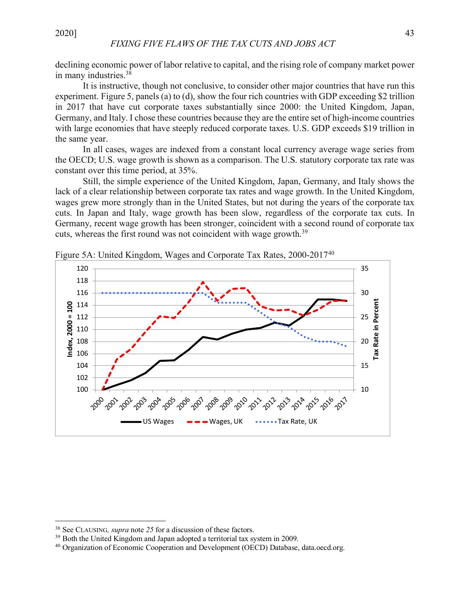declining economic power of labor relative to capital, and the rising role of company market power in many industries.38

It is instructive, though not conclusive, to consider other major countries that have run this experiment. Figure 5, panels (a) to (d), show the four rich countries with GDP exceeding \$2 trillion in 2017 that have cut corporate taxes substantially since 2000: the United Kingdom, Japan, Germany, and Italy. I chose these countries because they are the entire set of high-income countries with large economies that have steeply reduced corporate taxes. U.S. GDP exceeds \$19 trillion in the same year.

In all cases, wages are indexed from a constant local currency average wage series from the OECD; U.S. wage growth is shown as a comparison. The U.S. statutory corporate tax rate was constant over this time period, at 35%.

Still, the simple experience of the United Kingdom, Japan, Germany, and Italy shows the lack of a clear relationship between corporate tax rates and wage growth. In the United Kingdom, wages grew more strongly than in the United States, but not during the years of the corporate tax cuts. In Japan and Italy, wage growth has been slow, regardless of the corporate tax cuts. In Germany, recent wage growth has been stronger, coincident with a second round of corporate tax cuts, whereas the first round was not coincident with wage growth.<sup>39</sup>



Figure 5A: United Kingdom, Wages and Corporate Tax Rates, 2000-201740

 <sup>38</sup> See CLAUSING*, supra* note *<sup>25</sup>*for a discussion of these factors.

<sup>&</sup>lt;sup>39</sup> Both the United Kingdom and Japan adopted a territorial tax system in 2009.<br><sup>40</sup> Organization of Economic Cooperation and Development (OECD) Database, data.oecd.org.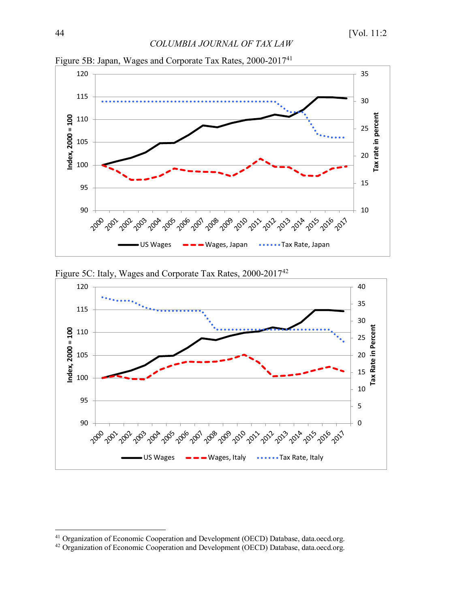

Figure 5B: Japan, Wages and Corporate Tax Rates, 2000-201741





Organization of Economic Cooperation and Development (OECD) Database, data.oecd.org.

Organization of Economic Cooperation and Development (OECD) Database, data.oecd.org.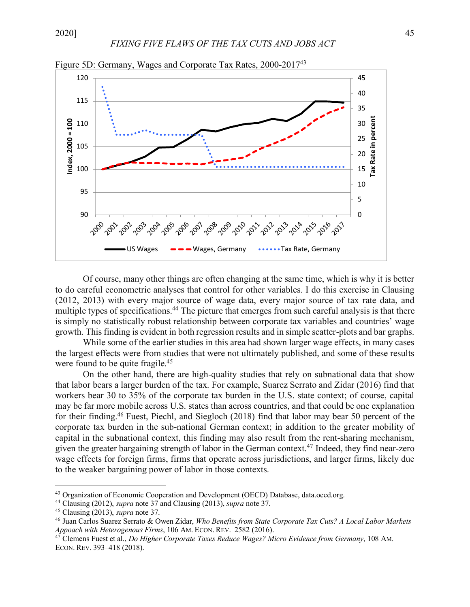

Figure 5D: Germany, Wages and Corporate Tax Rates, 2000-2017<sup>43</sup>

Of course, many other things are often changing at the same time, which is why it is better to do careful econometric analyses that control for other variables. I do this exercise in Clausing (2012, 2013) with every major source of wage data, every major source of tax rate data, and multiple types of specifications.<sup>44</sup> The picture that emerges from such careful analysis is that there is simply no statistically robust relationship between corporate tax variables and countries' wage growth. This finding is evident in both regression results and in simple scatter-plots and bar graphs.

While some of the earlier studies in this area had shown larger wage effects, in many cases the largest effects were from studies that were not ultimately published, and some of these results were found to be quite fragile.<sup>45</sup>

On the other hand, there are high-quality studies that rely on subnational data that show that labor bears a larger burden of the tax. For example, Suarez Serrato and Zidar (2016) find that workers bear 30 to 35% of the corporate tax burden in the U.S. state context; of course, capital may be far more mobile across U.S. states than across countries, and that could be one explanation for their finding.46 Fuest, Piechl, and Siegloch (2018) find that labor may bear 50 percent of the corporate tax burden in the sub-national German context; in addition to the greater mobility of capital in the subnational context, this finding may also result from the rent-sharing mechanism, given the greater bargaining strength of labor in the German context.47 Indeed, they find near-zero wage effects for foreign firms, firms that operate across jurisdictions, and larger firms, likely due to the weaker bargaining power of labor in those contexts.

 <sup>43</sup> Organization of Economic Cooperation and Development (OECD) Database, data.oecd.org.

<sup>44</sup> Clausing (2012), *supra* note 37 and Clausing (2013), *supra* note 37. 45 Clausing (2013), *supra* note 37.

<sup>46</sup> Juan Carlos Suarez Serrato & Owen Zidar, *Who Benefits from State Corporate Tax Cuts? A Local Labor Markets Appoach with Heterogenous Firms*, 106 AM. ECON. REV. 2582 (2016).

<sup>47</sup> Clemens Fuest et al., *Do Higher Corporate Taxes Reduce Wages? Micro Evidence from Germany*, 108 AM. ECON. REV. 393–418 (2018).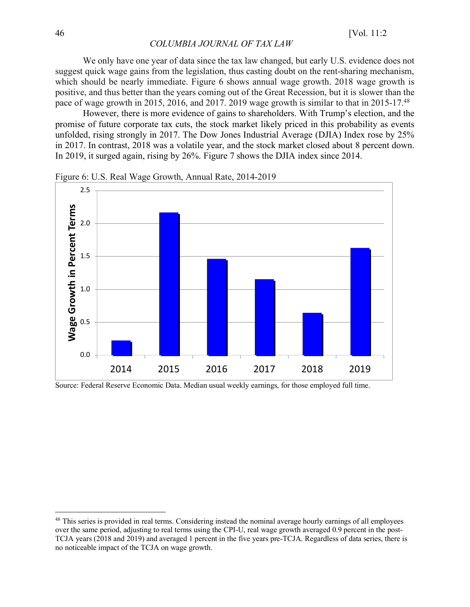We only have one year of data since the tax law changed, but early U.S. evidence does not suggest quick wage gains from the legislation, thus casting doubt on the rent-sharing mechanism, which should be nearly immediate. Figure 6 shows annual wage growth. 2018 wage growth is positive, and thus better than the years coming out of the Great Recession, but it is slower than the pace of wage growth in 2015, 2016, and 2017. 2019 wage growth is similar to that in 2015-17.48

However, there is more evidence of gains to shareholders. With Trump's election, and the promise of future corporate tax cuts, the stock market likely priced in this probability as events unfolded, rising strongly in 2017. The Dow Jones Industrial Average (DJIA) Index rose by 25% in 2017. In contrast, 2018 was a volatile year, and the stock market closed about 8 percent down. In 2019, it surged again, rising by 26%. Figure 7 shows the DJIA index since 2014.

![](_page_15_Figure_4.jpeg)

Figure 6: U.S. Real Wage Growth, Annual Rate, 2014-2019

Source: Federal Reserve Economic Data. Median usual weekly earnings, for those employed full time.

<sup>&</sup>lt;sup>48</sup> This series is provided in real terms. Considering instead the nominal average hourly earnings of all employees over the same period, adjusting to real terms using the CPI-U, real wage growth averaged 0.9 percent in the post-TCJA years (2018 and 2019) and averaged 1 percent in the five years pre-TCJA. Regardless of data series, there is no noticeable impact of the TCJA on wage growth.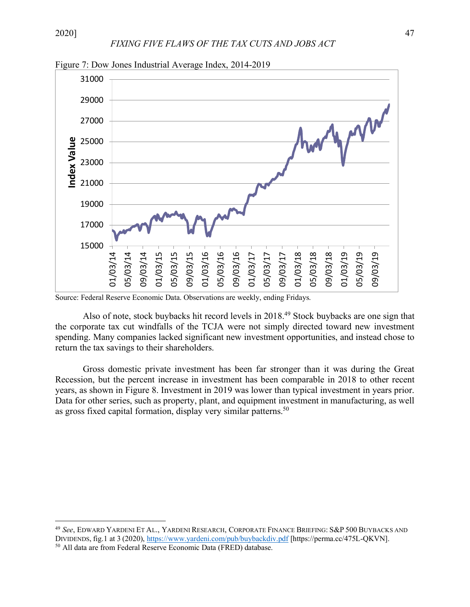![](_page_16_Figure_2.jpeg)

Figure 7: Dow Jones Industrial Average Index, 2014-2019

Source: Federal Reserve Economic Data. Observations are weekly, ending Fridays.

Also of note, stock buybacks hit record levels in 2018.49 Stock buybacks are one sign that the corporate tax cut windfalls of the TCJA were not simply directed toward new investment spending. Many companies lacked significant new investment opportunities, and instead chose to return the tax savings to their shareholders.

Gross domestic private investment has been far stronger than it was during the Great Recession, but the percent increase in investment has been comparable in 2018 to other recent years, as shown in Figure 8. Investment in 2019 was lower than typical investment in years prior. Data for other series, such as property, plant, and equipment investment in manufacturing, as well as gross fixed capital formation, display very similar patterns.<sup>50</sup>

 <sup>49</sup> *See*, EDWARD YARDENI ET AL., YARDENI RESEARCH, CORPORATE FINANCE BRIEFING: S&P <sup>500</sup> BUYBACKS AND DIVIDENDS, fig.1 at 3 (2020), https://www.yardeni.com/pub/buybackdiv.pdf [https://perma.cc/475L-QKVN].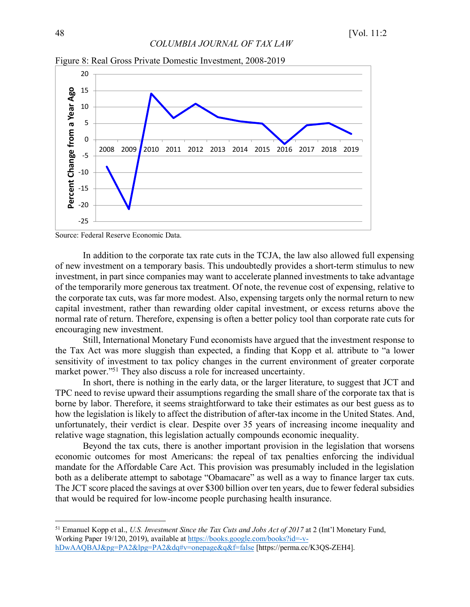![](_page_17_Figure_2.jpeg)

Figure 8: Real Gross Private Domestic Investment, 2008-2019

Source: Federal Reserve Economic Data.

In addition to the corporate tax rate cuts in the TCJA, the law also allowed full expensing of new investment on a temporary basis. This undoubtedly provides a short-term stimulus to new investment, in part since companies may want to accelerate planned investments to take advantage of the temporarily more generous tax treatment. Of note, the revenue cost of expensing, relative to the corporate tax cuts, was far more modest. Also, expensing targets only the normal return to new capital investment, rather than rewarding older capital investment, or excess returns above the normal rate of return. Therefore, expensing is often a better policy tool than corporate rate cuts for encouraging new investment.

Still, International Monetary Fund economists have argued that the investment response to the Tax Act was more sluggish than expected, a finding that Kopp et al. attribute to "a lower sensitivity of investment to tax policy changes in the current environment of greater corporate market power."51 They also discuss a role for increased uncertainty.

In short, there is nothing in the early data, or the larger literature, to suggest that JCT and TPC need to revise upward their assumptions regarding the small share of the corporate tax that is borne by labor. Therefore, it seems straightforward to take their estimates as our best guess as to how the legislation is likely to affect the distribution of after-tax income in the United States. And, unfortunately, their verdict is clear. Despite over 35 years of increasing income inequality and relative wage stagnation, this legislation actually compounds economic inequality.

Beyond the tax cuts, there is another important provision in the legislation that worsens economic outcomes for most Americans: the repeal of tax penalties enforcing the individual mandate for the Affordable Care Act. This provision was presumably included in the legislation both as a deliberate attempt to sabotage "Obamacare" as well as a way to finance larger tax cuts. The JCT score placed the savings at over \$300 billion over ten years, due to fewer federal subsidies that would be required for low-income people purchasing health insurance.

 <sup>51</sup> Emanuel Kopp et al., *U.S. Investment Since the Tax Cuts and Jobs Act of 2017* at 2 (Int'l Monetary Fund, Working Paper 19/120, 2019), available at https://books.google.com/books?id=-vhDwAAQBAJ&pg=PA2&lpg=PA2&dq#v=onepage&q&f=false [https://perma.cc/K3QS-ZEH4].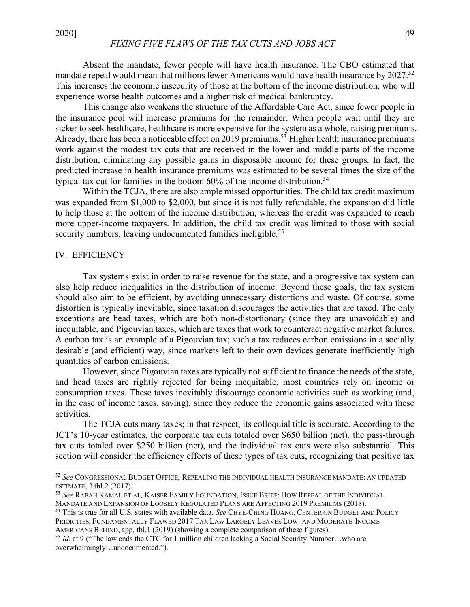Absent the mandate, fewer people will have health insurance. The CBO estimated that mandate repeal would mean that millions fewer Americans would have health insurance by 2027.<sup>52</sup> This increases the economic insecurity of those at the bottom of the income distribution, who will experience worse health outcomes and a higher risk of medical bankruptcy.

This change also weakens the structure of the Affordable Care Act, since fewer people in the insurance pool will increase premiums for the remainder. When people wait until they are sicker to seek healthcare, healthcare is more expensive for the system as a whole, raising premiums. Already, there has been a noticeable effect on 2019 premiums.<sup>53</sup> Higher health insurance premiums work against the modest tax cuts that are received in the lower and middle parts of the income distribution, eliminating any possible gains in disposable income for these groups. In fact, the predicted increase in health insurance premiums was estimated to be several times the size of the typical tax cut for families in the bottom 60% of the income distribution.<sup>54</sup>

Within the TCJA, there are also ample missed opportunities. The child tax credit maximum was expanded from \$1,000 to \$2,000, but since it is not fully refundable, the expansion did little to help those at the bottom of the income distribution, whereas the credit was expanded to reach more upper-income taxpayers. In addition, the child tax credit was limited to those with social security numbers, leaving undocumented families ineligible.<sup>55</sup>

#### IV. EFFICIENCY

Tax systems exist in order to raise revenue for the state, and a progressive tax system can also help reduce inequalities in the distribution of income. Beyond these goals, the tax system should also aim to be efficient, by avoiding unnecessary distortions and waste. Of course, some distortion is typically inevitable, since taxation discourages the activities that are taxed. The only exceptions are head taxes, which are both non-distortionary (since they are unavoidable) and inequitable, and Pigouvian taxes, which are taxes that work to counteract negative market failures. A carbon tax is an example of a Pigouvian tax; such a tax reduces carbon emissions in a socially desirable (and efficient) way, since markets left to their own devices generate inefficiently high quantities of carbon emissions.

However, since Pigouvian taxes are typically not sufficient to finance the needs of the state, and head taxes are rightly rejected for being inequitable, most countries rely on income or consumption taxes. These taxes inevitably discourage economic activities such as working (and, in the case of income taxes, saving), since they reduce the economic gains associated with these activities.

The TCJA cuts many taxes; in that respect, its colloquial title is accurate. According to the JCT's 10-year estimates, the corporate tax cuts totaled over \$650 billion (net), the pass-through tax cuts totaled over \$250 billion (net), and the individual tax cuts were also substantial. This section will consider the efficiency effects of these types of tax cuts, recognizing that positive tax

 <sup>52</sup> *See* CONGRESSIONAL BUDGET OFFICE, REPEALING THE INDIVIDUAL HEALTH INSURANCE MANDATE: AN UPDATED ESTIMATE, <sup>3</sup> tbl.2 (2017). 53 *See* RABAH KAMAL ET AL*,* KAISER FAMILY FOUNDATION, ISSUE BRIEF: HOW REPEAL OF THE INDIVIDUAL

MANDATE AND EXPANSION OF LOOSELY REGULATED PLANS ARE AFFECTING 2019 PREMIUMS (2018).

<sup>54</sup> This is true for all U.S. states with available data. *See* CHYE-CHING HUANG, CENTER ON BUDGET AND POLICY PRIORITIES, FUNDAMENTALLY FLAWED 2017 TAX LAW LARGELY LEAVES LOW- AND MODERATE-INCOME AMERICANS BEHIND, app. tbl.1 (2019) (showing a complete comparison of these figures).

<sup>55</sup> *Id.* at 9 ("The law ends the CTC for 1 million children lacking a Social Security Number…who are overwhelmingly…undocumented.").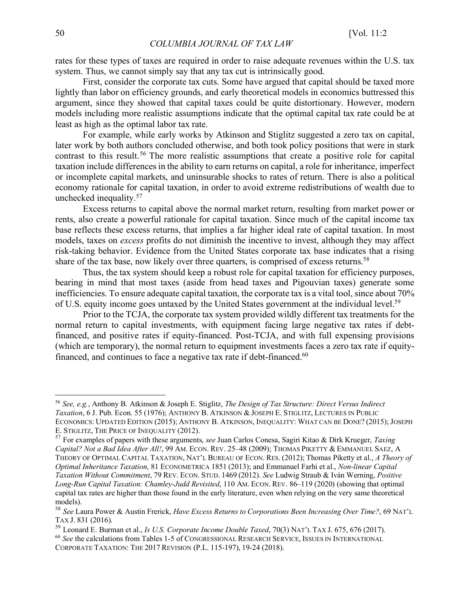rates for these types of taxes are required in order to raise adequate revenues within the U.S. tax system. Thus, we cannot simply say that any tax cut is intrinsically good.

First, consider the corporate tax cuts. Some have argued that capital should be taxed more lightly than labor on efficiency grounds, and early theoretical models in economics buttressed this argument, since they showed that capital taxes could be quite distortionary. However, modern models including more realistic assumptions indicate that the optimal capital tax rate could be at least as high as the optimal labor tax rate.

For example, while early works by Atkinson and Stiglitz suggested a zero tax on capital, later work by both authors concluded otherwise, and both took policy positions that were in stark contrast to this result.<sup>56</sup> The more realistic assumptions that create a positive role for capital taxation include differences in the ability to earn returns on capital, a role for inheritance, imperfect or incomplete capital markets, and uninsurable shocks to rates of return. There is also a political economy rationale for capital taxation, in order to avoid extreme redistributions of wealth due to unchecked inequality.57

Excess returns to capital above the normal market return, resulting from market power or rents, also create a powerful rationale for capital taxation. Since much of the capital income tax base reflects these excess returns, that implies a far higher ideal rate of capital taxation. In most models, taxes on *excess* profits do not diminish the incentive to invest, although they may affect risk-taking behavior. Evidence from the United States corporate tax base indicates that a rising share of the tax base, now likely over three quarters, is comprised of excess returns.<sup>58</sup>

Thus, the tax system should keep a robust role for capital taxation for efficiency purposes, bearing in mind that most taxes (aside from head taxes and Pigouvian taxes) generate some inefficiencies. To ensure adequate capital taxation, the corporate tax is a vital tool, since about 70% of U.S. equity income goes untaxed by the United States government at the individual level.<sup>59</sup>

Prior to the TCJA, the corporate tax system provided wildly different tax treatments for the normal return to capital investments, with equipment facing large negative tax rates if debtfinanced, and positive rates if equity-financed. Post-TCJA, and with full expensing provisions (which are temporary), the normal return to equipment investments faces a zero tax rate if equityfinanced, and continues to face a negative tax rate if debt-financed.<sup>60</sup>

 <sup>56</sup> *See, e.g.*, Anthony B. Atkinson & Joseph E. Stiglitz, *The Design of Tax Structure: Direct Versus Indirect Taxation*, 6 J. Pub. Econ. 55 (1976); ANTHONY B. ATKINSON & JOSEPH E. STIGLITZ, LECTURES IN PUBLIC ECONOMICS: UPDATED EDITION (2015); ANTHONY B. ATKINSON, INEQUALITY: WHAT CAN BE DONE? (2015); JOSEPH E. STIGLITZ, THE PRICE OF INEQUALITY (2012).

<sup>57</sup> For examples of papers with these arguments, *see* Juan Carlos Conesa, Sagiri Kitao & Dirk Krueger, *Taxing Capital? Not a Bad Idea After All!*, 99 AM. ECON. REV. 25–48 (2009); THOMAS PIKETTY & EMMANUEL SAEZ, A THEORY OF OPTIMAL CAPITAL TAXATION, NAT'L BUREAU OF ECON. RES. (2012); Thomas Piketty et al., *A Theory of Optimal Inheritance Taxation*, 81 ECONOMETRICA 1851 (2013); and Emmanuel Farhi et al., *Non-linear Capital Taxation Without Commitment*, 79 REV. ECON. STUD. 1469 (2012). *See* Ludwig Straub & Iván Werning, *Positive Long-Run Capital Taxation: Chamley-Judd Revisited*, 110 AM. ECON. REV. 86–119 (2020) (showing that optimal capital tax rates are higher than those found in the early literature, even when relying on the very same theoretical models).

<sup>58</sup> *See* Laura Power & Austin Frerick, *Have Excess Returns to Corporations Been Increasing Over Time?*, 69 NAT'L TAX J. 831 (2016).<br><sup>59</sup> Leonard E. Burman et al., *Is U.S. Corporate Income Double Taxed*, 70(3) NAT'L TAX J. 675, 676 (2017).

<sup>&</sup>lt;sup>60</sup> See the calculations from Tables 1-5 of CONGRESSIONAL RESEARCH SERVICE, ISSUES IN INTERNATIONAL

CORPORATE TAXATION: THE 2017 REVISION (P.L. 115-197), 19-24 (2018).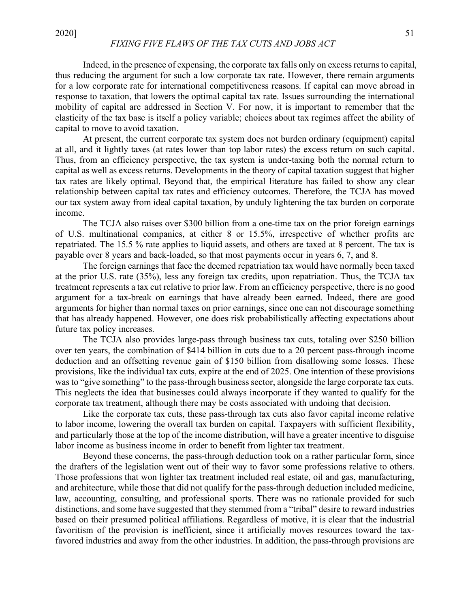# *FIXING FIVE FLAWS OF THE TAX CUTS AND JOBS ACT*

Indeed, in the presence of expensing, the corporate tax falls only on excess returns to capital, thus reducing the argument for such a low corporate tax rate. However, there remain arguments for a low corporate rate for international competitiveness reasons. If capital can move abroad in response to taxation, that lowers the optimal capital tax rate. Issues surrounding the international mobility of capital are addressed in Section V. For now, it is important to remember that the elasticity of the tax base is itself a policy variable; choices about tax regimes affect the ability of capital to move to avoid taxation.

At present, the current corporate tax system does not burden ordinary (equipment) capital at all, and it lightly taxes (at rates lower than top labor rates) the excess return on such capital. Thus, from an efficiency perspective, the tax system is under-taxing both the normal return to capital as well as excess returns. Developments in the theory of capital taxation suggest that higher tax rates are likely optimal. Beyond that, the empirical literature has failed to show any clear relationship between capital tax rates and efficiency outcomes. Therefore, the TCJA has moved our tax system away from ideal capital taxation, by unduly lightening the tax burden on corporate income.

The TCJA also raises over \$300 billion from a one-time tax on the prior foreign earnings of U.S. multinational companies, at either 8 or 15.5%, irrespective of whether profits are repatriated. The 15.5 % rate applies to liquid assets, and others are taxed at 8 percent. The tax is payable over 8 years and back-loaded, so that most payments occur in years 6, 7, and 8.

The foreign earnings that face the deemed repatriation tax would have normally been taxed at the prior U.S. rate (35%), less any foreign tax credits, upon repatriation. Thus, the TCJA tax treatment represents a tax cut relative to prior law. From an efficiency perspective, there is no good argument for a tax-break on earnings that have already been earned. Indeed, there are good arguments for higher than normal taxes on prior earnings, since one can not discourage something that has already happened. However, one does risk probabilistically affecting expectations about future tax policy increases.

The TCJA also provides large-pass through business tax cuts, totaling over \$250 billion over ten years, the combination of \$414 billion in cuts due to a 20 percent pass-through income deduction and an offsetting revenue gain of \$150 billion from disallowing some losses. These provisions, like the individual tax cuts, expire at the end of 2025. One intention of these provisions was to "give something" to the pass-through business sector, alongside the large corporate tax cuts. This neglects the idea that businesses could always incorporate if they wanted to qualify for the corporate tax treatment, although there may be costs associated with undoing that decision.

Like the corporate tax cuts, these pass-through tax cuts also favor capital income relative to labor income, lowering the overall tax burden on capital. Taxpayers with sufficient flexibility, and particularly those at the top of the income distribution, will have a greater incentive to disguise labor income as business income in order to benefit from lighter tax treatment.

Beyond these concerns, the pass-through deduction took on a rather particular form, since the drafters of the legislation went out of their way to favor some professions relative to others. Those professions that won lighter tax treatment included real estate, oil and gas, manufacturing, and architecture, while those that did not qualify for the pass-through deduction included medicine, law, accounting, consulting, and professional sports. There was no rationale provided for such distinctions, and some have suggested that they stemmed from a "tribal" desire to reward industries based on their presumed political affiliations. Regardless of motive, it is clear that the industrial favoritism of the provision is inefficient, since it artificially moves resources toward the taxfavored industries and away from the other industries. In addition, the pass-through provisions are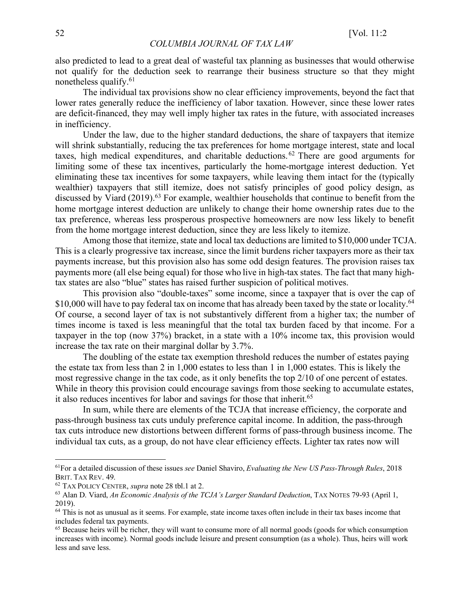also predicted to lead to a great deal of wasteful tax planning as businesses that would otherwise not qualify for the deduction seek to rearrange their business structure so that they might nonetheless qualify.61

The individual tax provisions show no clear efficiency improvements, beyond the fact that lower rates generally reduce the inefficiency of labor taxation. However, since these lower rates are deficit-financed, they may well imply higher tax rates in the future, with associated increases in inefficiency.

Under the law, due to the higher standard deductions, the share of taxpayers that itemize will shrink substantially, reducing the tax preferences for home mortgage interest, state and local taxes, high medical expenditures, and charitable deductions. <sup>62</sup> There are good arguments for limiting some of these tax incentives, particularly the home-mortgage interest deduction. Yet eliminating these tax incentives for some taxpayers, while leaving them intact for the (typically wealthier) taxpayers that still itemize, does not satisfy principles of good policy design, as discussed by Viard (2019).<sup>63</sup> For example, wealthier households that continue to benefit from the home mortgage interest deduction are unlikely to change their home ownership rates due to the tax preference, whereas less prosperous prospective homeowners are now less likely to benefit from the home mortgage interest deduction, since they are less likely to itemize.

Among those that itemize, state and local tax deductions are limited to \$10,000 under TCJA. This is a clearly progressive tax increase, since the limit burdens richer taxpayers more as their tax payments increase, but this provision also has some odd design features. The provision raises tax payments more (all else being equal) for those who live in high-tax states. The fact that many hightax states are also "blue" states has raised further suspicion of political motives.

This provision also "double-taxes" some income, since a taxpayer that is over the cap of \$10,000 will have to pay federal tax on income that has already been taxed by the state or locality.<sup>64</sup> Of course, a second layer of tax is not substantively different from a higher tax; the number of times income is taxed is less meaningful that the total tax burden faced by that income. For a taxpayer in the top (now 37%) bracket, in a state with a 10% income tax, this provision would increase the tax rate on their marginal dollar by 3.7%.

The doubling of the estate tax exemption threshold reduces the number of estates paying the estate tax from less than 2 in 1,000 estates to less than 1 in 1,000 estates. This is likely the most regressive change in the tax code, as it only benefits the top 2/10 of one percent of estates. While in theory this provision could encourage savings from those seeking to accumulate estates, it also reduces incentives for labor and savings for those that inherit.<sup>65</sup>

In sum, while there are elements of the TCJA that increase efficiency, the corporate and pass-through business tax cuts unduly preference capital income. In addition, the pass-through tax cuts introduce new distortions between different forms of pass-through business income. The individual tax cuts, as a group, do not have clear efficiency effects. Lighter tax rates now will

 <sup>61</sup>For a detailed discussion of these issues *see* Daniel Shaviro, *Evaluating the New US Pass-Through Rules*, <sup>2018</sup> BRIT. TAX REV. 49.<br><sup>62</sup> TAX POLICY CENTER. *supra* note 28 tbl.1 at 2.

<sup>&</sup>lt;sup>63</sup> Alan D. Viard, *An Economic Analysis of the TCJA's Larger Standard Deduction*, TAX NOTES 79-93 (April 1, 2019).

<sup>&</sup>lt;sup>64</sup> This is not as unusual as it seems. For example, state income taxes often include in their tax bases income that includes federal tax payments.

<sup>&</sup>lt;sup>65</sup> Because heirs will be richer, they will want to consume more of all normal goods (goods for which consumption increases with income). Normal goods include leisure and present consumption (as a whole). Thus, heirs will work less and save less.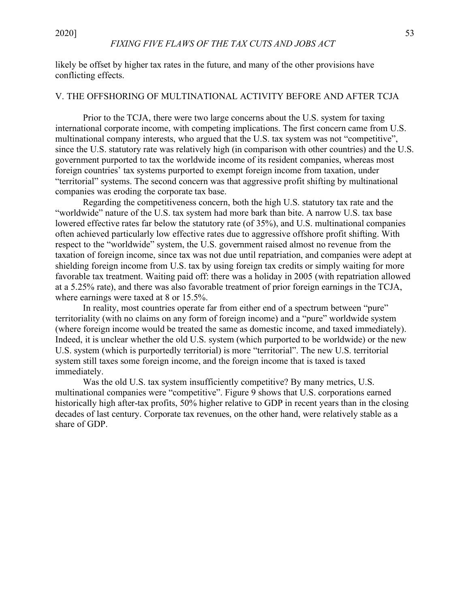likely be offset by higher tax rates in the future, and many of the other provisions have conflicting effects.

#### V. THE OFFSHORING OF MULTINATIONAL ACTIVITY BEFORE AND AFTER TCJA

Prior to the TCJA, there were two large concerns about the U.S. system for taxing international corporate income, with competing implications. The first concern came from U.S. multinational company interests, who argued that the U.S. tax system was not "competitive", since the U.S. statutory rate was relatively high (in comparison with other countries) and the U.S. government purported to tax the worldwide income of its resident companies, whereas most foreign countries' tax systems purported to exempt foreign income from taxation, under "territorial" systems. The second concern was that aggressive profit shifting by multinational companies was eroding the corporate tax base.

Regarding the competitiveness concern, both the high U.S. statutory tax rate and the "worldwide" nature of the U.S. tax system had more bark than bite. A narrow U.S. tax base lowered effective rates far below the statutory rate (of 35%), and U.S. multinational companies often achieved particularly low effective rates due to aggressive offshore profit shifting. With respect to the "worldwide" system, the U.S. government raised almost no revenue from the taxation of foreign income, since tax was not due until repatriation, and companies were adept at shielding foreign income from U.S. tax by using foreign tax credits or simply waiting for more favorable tax treatment. Waiting paid off: there was a holiday in 2005 (with repatriation allowed at a 5.25% rate), and there was also favorable treatment of prior foreign earnings in the TCJA, where earnings were taxed at 8 or 15.5%.

In reality, most countries operate far from either end of a spectrum between "pure" territoriality (with no claims on any form of foreign income) and a "pure" worldwide system (where foreign income would be treated the same as domestic income, and taxed immediately). Indeed, it is unclear whether the old U.S. system (which purported to be worldwide) or the new U.S. system (which is purportedly territorial) is more "territorial". The new U.S. territorial system still taxes some foreign income, and the foreign income that is taxed is taxed immediately.

Was the old U.S. tax system insufficiently competitive? By many metrics, U.S. multinational companies were "competitive". Figure 9 shows that U.S. corporations earned historically high after-tax profits, 50% higher relative to GDP in recent years than in the closing decades of last century. Corporate tax revenues, on the other hand, were relatively stable as a share of GDP.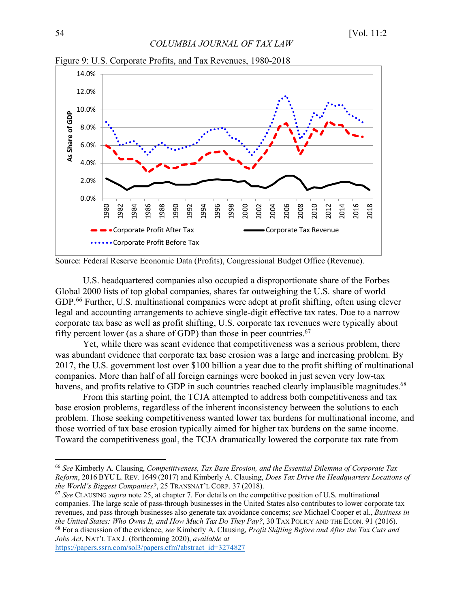![](_page_23_Figure_2.jpeg)

Figure 9: U.S. Corporate Profits, and Tax Revenues, 1980-2018

![](_page_23_Figure_4.jpeg)

U.S. headquartered companies also occupied a disproportionate share of the Forbes Global 2000 lists of top global companies, shares far outweighing the U.S. share of world GDP.<sup>66</sup> Further, U.S. multinational companies were adept at profit shifting, often using clever legal and accounting arrangements to achieve single-digit effective tax rates. Due to a narrow corporate tax base as well as profit shifting, U.S. corporate tax revenues were typically about fifty percent lower (as a share of GDP) than those in peer countries.<sup>67</sup>

Yet, while there was scant evidence that competitiveness was a serious problem, there was abundant evidence that corporate tax base erosion was a large and increasing problem. By 2017, the U.S. government lost over \$100 billion a year due to the profit shifting of multinational companies. More than half of all foreign earnings were booked in just seven very low-tax havens, and profits relative to GDP in such countries reached clearly implausible magnitudes.<sup>68</sup>

From this starting point, the TCJA attempted to address both competitiveness and tax base erosion problems, regardless of the inherent inconsistency between the solutions to each problem. Those seeking competitiveness wanted lower tax burdens for multinational income, and those worried of tax base erosion typically aimed for higher tax burdens on the same income. Toward the competitiveness goal, the TCJA dramatically lowered the corporate tax rate from

https://papers.ssrn.com/sol3/papers.cfm?abstract\_id=3274827

 <sup>66</sup> *See* Kimberly A. Clausing, *Competitiveness, Tax Base Erosion, and the Essential Dilemma of Corporate Tax Reform*, 2016 BYU L. REV. 1649 (2017) and Kimberly A. Clausing, *Does Tax Drive the Headquarters Locations of the World's Biggest Companies?*, 25 TRANSNAT'L CORP. 37 (2018).

<sup>67</sup> *See* CLAUSING *supra* note 25, at chapter 7. For details on the competitive position of U.S. multinational companies. The large scale of pass-through businesses in the United States also contributes to lower corporate tax revenues, and pass through businesses also generate tax avoidance concerns; *see* Michael Cooper et al., *Business in the United States: Who Owns It, and How Much Tax Do They Pay?*, 30 TAX POLICY AND THE ECON. 91 (2016). <sup>68</sup> For a discussion of the evidence, *see* Kimberly A. Clausing, *Profit Shifting Before and After the Tax Cuts and Jobs Act*, NAT'L TAX J. (forthcoming 2020), *available at*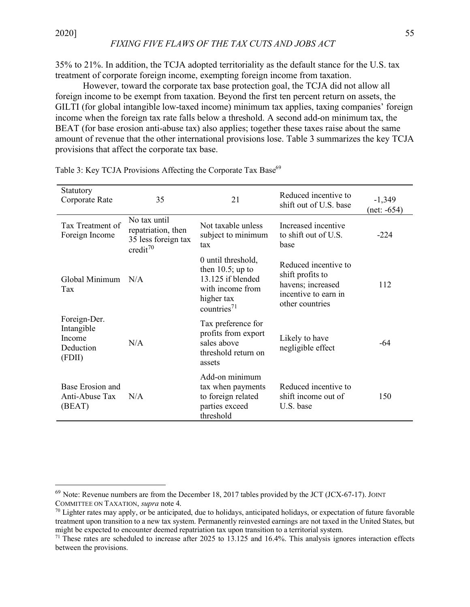# *FIXING FIVE FLAWS OF THE TAX CUTS AND JOBS ACT*

35% to 21%. In addition, the TCJA adopted territoriality as the default stance for the U.S. tax treatment of corporate foreign income, exempting foreign income from taxation.

However, toward the corporate tax base protection goal, the TCJA did not allow all foreign income to be exempt from taxation. Beyond the first ten percent return on assets, the GILTI (for global intangible low-taxed income) minimum tax applies, taxing companies' foreign income when the foreign tax rate falls below a threshold. A second add-on minimum tax, the BEAT (for base erosion anti-abuse tax) also applies; together these taxes raise about the same amount of revenue that the other international provisions lose. Table 3 summarizes the key TCJA provisions that affect the corporate tax base.

| Statutory<br>Corporate Rate                                 | 35                                                                                | 21                                                                                                                 | Reduced incentive to<br>shift out of U.S. base                                                           | $-1,349$<br>(net: -654) |
|-------------------------------------------------------------|-----------------------------------------------------------------------------------|--------------------------------------------------------------------------------------------------------------------|----------------------------------------------------------------------------------------------------------|-------------------------|
| Tax Treatment of<br>Foreign Income                          | No tax until<br>repatriation, then<br>35 less foreign tax<br>credit <sup>70</sup> | Not taxable unless<br>subject to minimum<br>tax                                                                    | Increased incentive<br>to shift out of U.S.<br>base                                                      | $-224$                  |
| Global Minimum<br>Tax                                       | N/A                                                                               | 0 until threshold,<br>then $10.5$ ; up to<br>13.125 if blended<br>with income from<br>higher tax<br>countries $71$ | Reduced incentive to<br>shift profits to<br>havens; increased<br>incentive to earn in<br>other countries | 112                     |
| Foreign-Der.<br>Intangible<br>Income<br>Deduction<br>(FDII) | N/A                                                                               | Tax preference for<br>profits from export<br>sales above<br>threshold return on<br>assets                          | Likely to have<br>negligible effect                                                                      | -64                     |
| Base Erosion and<br>Anti-Abuse Tax<br>(BEAT)                | N/A                                                                               | Add-on minimum<br>tax when payments<br>to foreign related<br>parties exceed<br>threshold                           | Reduced incentive to<br>shift income out of<br>U.S. base                                                 | 150                     |

Table 3: Key TCJA Provisions Affecting the Corporate Tax Base<sup>69</sup>

 $69$  Note: Revenue numbers are from the December 18, 2017 tables provided by the JCT (JCX-67-17). JOINT COMMITTEE ON TAXATION, *supra* note 4.

 $70$  Lighter rates may apply, or be anticipated, due to holidays, anticipated holidays, or expectation of future favorable treatment upon transition to a new tax system. Permanently reinvested earnings are not taxed in the United States, but might be expected to encounter deemed repatriation tax upon transition to a territorial system.

 $71$  These rates are scheduled to increase after 2025 to 13.125 and 16.4%. This analysis ignores interaction effects between the provisions.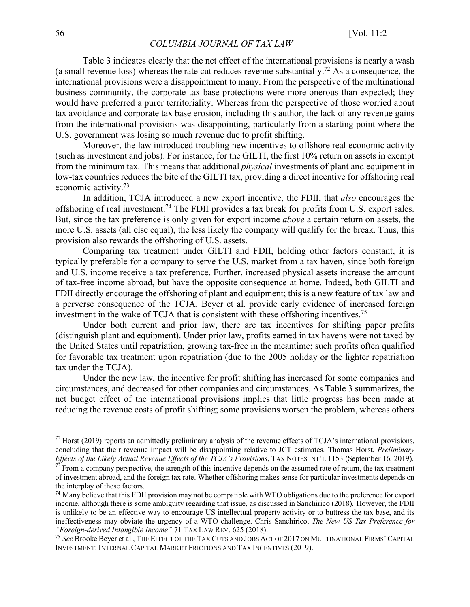Table 3 indicates clearly that the net effect of the international provisions is nearly a wash (a small revenue loss) whereas the rate cut reduces revenue substantially.<sup>72</sup> As a consequence, the international provisions were a disappointment to many. From the perspective of the multinational business community, the corporate tax base protections were more onerous than expected; they would have preferred a purer territoriality. Whereas from the perspective of those worried about tax avoidance and corporate tax base erosion, including this author, the lack of any revenue gains from the international provisions was disappointing, particularly from a starting point where the U.S. government was losing so much revenue due to profit shifting.

Moreover, the law introduced troubling new incentives to offshore real economic activity (such as investment and jobs). For instance, for the GILTI, the first 10% return on assets in exempt from the minimum tax. This means that additional *physical* investments of plant and equipment in low-tax countries reduces the bite of the GILTI tax, providing a direct incentive for offshoring real economic activity.73

In addition, TCJA introduced a new export incentive, the FDII, that *also* encourages the offshoring of real investment.74 The FDII provides a tax break for profits from U.S. export sales. But, since the tax preference is only given for export income *above* a certain return on assets, the more U.S. assets (all else equal), the less likely the company will qualify for the break. Thus, this provision also rewards the offshoring of U.S. assets.

Comparing tax treatment under GILTI and FDII, holding other factors constant, it is typically preferable for a company to serve the U.S. market from a tax haven, since both foreign and U.S. income receive a tax preference. Further, increased physical assets increase the amount of tax-free income abroad, but have the opposite consequence at home. Indeed, both GILTI and FDII directly encourage the offshoring of plant and equipment; this is a new feature of tax law and a perverse consequence of the TCJA. Beyer et al. provide early evidence of increased foreign investment in the wake of TCJA that is consistent with these offshoring incentives.75

Under both current and prior law, there are tax incentives for shifting paper profits (distinguish plant and equipment). Under prior law, profits earned in tax havens were not taxed by the United States until repatriation, growing tax-free in the meantime; such profits often qualified for favorable tax treatment upon repatriation (due to the 2005 holiday or the lighter repatriation tax under the TCJA).

Under the new law, the incentive for profit shifting has increased for some companies and circumstances, and decreased for other companies and circumstances. As Table 3 summarizes, the net budget effect of the international provisions implies that little progress has been made at reducing the revenue costs of profit shifting; some provisions worsen the problem, whereas others

 $^{72}$  Horst (2019) reports an admittedly preliminary analysis of the revenue effects of TCJA's international provisions, concluding that their revenue impact will be disappointing relative to JCT estimates. Thomas Horst, *Preliminary Effects of the Likely Actual Revenue Effects of the TCJA's Provisions*, TAX NOTES INT'L 1153 (September 16, 2019).<br><sup>73</sup> From a company perspective, the strength of this incentive depends on the assumed rate of return, th

of investment abroad, and the foreign tax rate. Whether offshoring makes sense for particular investments depends on the interplay of these factors.

 $74$  Many believe that this FDII provision may not be compatible with WTO obligations due to the preference for export income, although there is some ambiguity regarding that issue, as discussed in Sanchirico (2018). However, the FDII is unlikely to be an effective way to encourage US intellectual property activity or to buttress the tax base, and its ineffectiveness may obviate the urgency of a WTO challenge. Chris Sanchirico, *The New US Tax Preference for "Foreign-derived Intangible Income"* 71 TAX LAW REV. 625 (2018).

<sup>75</sup> *See* Brooke Beyer et al., THE EFFECT OF THE TAX CUTS AND JOBS ACT OF 2017 ON MULTINATIONAL FIRMS' CAPITAL INVESTMENT: INTERNAL CAPITAL MARKET FRICTIONS AND TAX INCENTIVES (2019).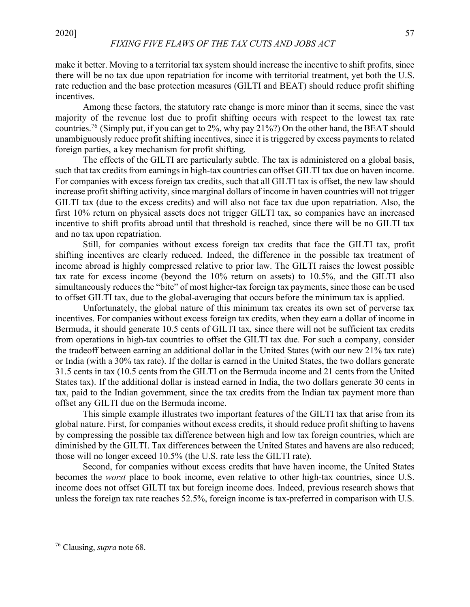make it better. Moving to a territorial tax system should increase the incentive to shift profits, since there will be no tax due upon repatriation for income with territorial treatment, yet both the U.S. rate reduction and the base protection measures (GILTI and BEAT) should reduce profit shifting incentives.

Among these factors, the statutory rate change is more minor than it seems, since the vast majority of the revenue lost due to profit shifting occurs with respect to the lowest tax rate countries.76 (Simply put, if you can get to 2%, why pay 21%?) On the other hand, the BEAT should unambiguously reduce profit shifting incentives, since it is triggered by excess payments to related foreign parties, a key mechanism for profit shifting.

The effects of the GILTI are particularly subtle. The tax is administered on a global basis, such that tax credits from earnings in high-tax countries can offset GILTI tax due on haven income. For companies with excess foreign tax credits, such that all GILTI tax is offset, the new law should increase profit shifting activity, since marginal dollars of income in haven countries will not trigger GILTI tax (due to the excess credits) and will also not face tax due upon repatriation. Also, the first 10% return on physical assets does not trigger GILTI tax, so companies have an increased incentive to shift profits abroad until that threshold is reached, since there will be no GILTI tax and no tax upon repatriation.

Still, for companies without excess foreign tax credits that face the GILTI tax, profit shifting incentives are clearly reduced. Indeed, the difference in the possible tax treatment of income abroad is highly compressed relative to prior law. The GILTI raises the lowest possible tax rate for excess income (beyond the 10% return on assets) to 10.5%, and the GILTI also simultaneously reduces the "bite" of most higher-tax foreign tax payments, since those can be used to offset GILTI tax, due to the global-averaging that occurs before the minimum tax is applied.

Unfortunately, the global nature of this minimum tax creates its own set of perverse tax incentives. For companies without excess foreign tax credits, when they earn a dollar of income in Bermuda, it should generate 10.5 cents of GILTI tax, since there will not be sufficient tax credits from operations in high-tax countries to offset the GILTI tax due. For such a company, consider the tradeoff between earning an additional dollar in the United States (with our new 21% tax rate) or India (with a 30% tax rate). If the dollar is earned in the United States, the two dollars generate 31.5 cents in tax (10.5 cents from the GILTI on the Bermuda income and 21 cents from the United States tax). If the additional dollar is instead earned in India, the two dollars generate 30 cents in tax, paid to the Indian government, since the tax credits from the Indian tax payment more than offset any GILTI due on the Bermuda income.

This simple example illustrates two important features of the GILTI tax that arise from its global nature. First, for companies without excess credits, it should reduce profit shifting to havens by compressing the possible tax difference between high and low tax foreign countries, which are diminished by the GILTI. Tax differences between the United States and havens are also reduced; those will no longer exceed 10.5% (the U.S. rate less the GILTI rate).

Second, for companies without excess credits that have haven income, the United States becomes the *worst* place to book income, even relative to other high-tax countries, since U.S. income does not offset GILTI tax but foreign income does. Indeed, previous research shows that unless the foreign tax rate reaches 52.5%, foreign income is tax-preferred in comparison with U.S.

 <sup>76</sup> Clausing, *supra* note 68.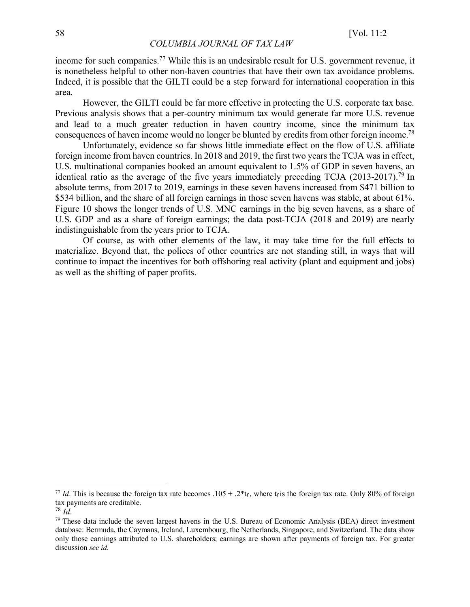income for such companies.<sup>77</sup> While this is an undesirable result for U.S. government revenue, it is nonetheless helpful to other non-haven countries that have their own tax avoidance problems. Indeed, it is possible that the GILTI could be a step forward for international cooperation in this area.

However, the GILTI could be far more effective in protecting the U.S. corporate tax base. Previous analysis shows that a per-country minimum tax would generate far more U.S. revenue and lead to a much greater reduction in haven country income, since the minimum tax consequences of haven income would no longer be blunted by credits from other foreign income.78

Unfortunately, evidence so far shows little immediate effect on the flow of U.S. affiliate foreign income from haven countries. In 2018 and 2019, the first two years the TCJA was in effect, U.S. multinational companies booked an amount equivalent to 1.5% of GDP in seven havens, an identical ratio as the average of the five years immediately preceding TCJA  $(2013-2017)$ .<sup>79</sup> In absolute terms, from 2017 to 2019, earnings in these seven havens increased from \$471 billion to \$534 billion, and the share of all foreign earnings in those seven havens was stable, at about 61%. Figure 10 shows the longer trends of U.S. MNC earnings in the big seven havens, as a share of U.S. GDP and as a share of foreign earnings; the data post-TCJA (2018 and 2019) are nearly indistinguishable from the years prior to TCJA.

Of course, as with other elements of the law, it may take time for the full effects to materialize. Beyond that, the polices of other countries are not standing still, in ways that will continue to impact the incentives for both offshoring real activity (plant and equipment and jobs) as well as the shifting of paper profits.

<sup>&</sup>lt;sup>77</sup> *Id*. This is because the foreign tax rate becomes .105 + .2\*t<sub>f</sub>, where t<sub>f</sub> is the foreign tax rate. Only 80% of foreign tax payments are creditable.

<sup>78</sup> *Id*.

<sup>&</sup>lt;sup>79</sup> These data include the seven largest havens in the U.S. Bureau of Economic Analysis (BEA) direct investment database: Bermuda, the Caymans, Ireland, Luxembourg, the Netherlands, Singapore, and Switzerland. The data show only those earnings attributed to U.S. shareholders; earnings are shown after payments of foreign tax. For greater discussion *see id*.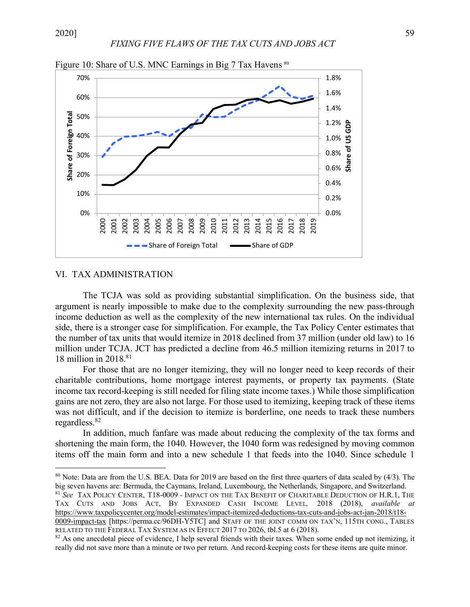![](_page_28_Figure_2.jpeg)

Figure 10: Share of U.S. MNC Earnings in Big 7 Tax Havens <sup>80</sup>

#### VI. TAX ADMINISTRATION

The TCJA was sold as providing substantial simplification. On the business side, that argument is nearly impossible to make due to the complexity surrounding the new pass-through income deduction as well as the complexity of the new international tax rules. On the individual side, there is a stronger case for simplification. For example, the Tax Policy Center estimates that the number of tax units that would itemize in 2018 declined from 37 million (under old law) to 16 million under TCJA. JCT has predicted a decline from 46.5 million itemizing returns in 2017 to 18 million in 2018.81

For those that are no longer itemizing, they will no longer need to keep records of their charitable contributions, home mortgage interest payments, or property tax payments. (State income tax record-keeping is still needed for filing state income taxes.) While those simplification gains are not zero, they are also not large. For those used to itemizing, keeping track of these items was not difficult, and if the decision to itemize is borderline, one needs to track these numbers regardless.82

In addition, much fanfare was made about reducing the complexity of the tax forms and shortening the main form, the 1040. However, the 1040 form was redesigned by moving common items off the main form and into a new schedule 1 that feeds into the 1040. Since schedule 1

<sup>81</sup> *See* TAX POLICY CENTER, T18-0009 - IMPACT ON THE TAX BENEFIT OF CHARITABLE DEDUCTION OF H.R.1, THE TAX CUTS AND JOBS ACT, BY EXPANDED CASH INCOME LEVEL*,* 2018 (2018), *available at* https://www.taxpolicycenter.org/model-estimates/impact-itemized-deductions-tax-cuts-and-jobs-act-jan-2018/t18- 0009-impact-tax [https://perma.cc/96DH-Y5TC] and STAFF OF THE JOINT COMM ON TAX'N, 115TH CONG., TABLES RELATED TO THE FEDERAL TAX SYSTEM AS IN EFFECT 2017 TO 2026, tbl.5 at 6 (2018).<br><sup>82</sup> As one anecdotal piece of evidence, I help several friends with their taxes. When some ended up not itemizing, it

 <sup>80</sup> Note: Data are from the U.S. BEA. Data for 2019 are based on the first three quarters of data scaled by (4/3). The big seven havens are: Bermuda, the Caymans, Ireland, Luxembourg, the Netherlands, Singapore, and Switzerland.

really did not save more than a minute or two per return. And record-keeping costs for these items are quite minor.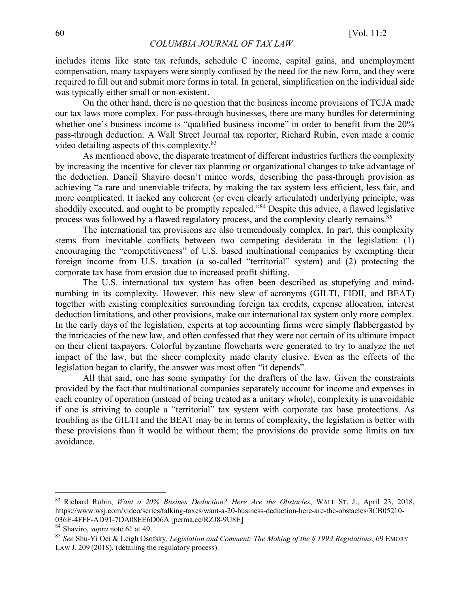includes items like state tax refunds, schedule C income, capital gains, and unemployment compensation, many taxpayers were simply confused by the need for the new form, and they were required to fill out and submit more forms in total. In general, simplification on the individual side was typically either small or non-existent.

On the other hand, there is no question that the business income provisions of TCJA made our tax laws more complex. For pass-through businesses, there are many hurdles for determining whether one's business income is "qualified business income" in order to benefit from the 20% pass-through deduction. A Wall Street Journal tax reporter, Richard Rubin, even made a comic video detailing aspects of this complexity.83

As mentioned above, the disparate treatment of different industries furthers the complexity by increasing the incentive for clever tax planning or organizational changes to take advantage of the deduction. Daneil Shaviro doesn't mince words, describing the pass-through provision as achieving "a rare and unenviable trifecta, by making the tax system less efficient, less fair, and more complicated. It lacked any coherent (or even clearly articulated) underlying principle, was shoddily executed, and ought to be promptly repealed."84 Despite this advice, a flawed legislative process was followed by a flawed regulatory process, and the complexity clearly remains.85

The international tax provisions are also tremendously complex. In part, this complexity stems from inevitable conflicts between two competing desiderata in the legislation: (1) encouraging the "competitiveness" of U.S. based multinational companies by exempting their foreign income from U.S. taxation (a so-called "territorial" system) and (2) protecting the corporate tax base from erosion due to increased profit shifting.

The U.S. international tax system has often been described as stupefying and mindnumbing in its complexity. However, this new slew of acronyms (GILTI, FIDII, and BEAT) together with existing complexities surrounding foreign tax credits, expense allocation, interest deduction limitations, and other provisions, make our international tax system only more complex. In the early days of the legislation, experts at top accounting firms were simply flabbergasted by the intricacies of the new law, and often confessed that they were not certain of its ultimate impact on their client taxpayers. Colorful byzantine flowcharts were generated to try to analyze the net impact of the law, but the sheer complexity made clarity elusive. Even as the effects of the legislation began to clarify, the answer was most often "it depends".

All that said, one has some sympathy for the drafters of the law. Given the constraints provided by the fact that multinational companies separately account for income and expenses in each country of operation (instead of being treated as a unitary whole), complexity is unavoidable if one is striving to couple a "territorial" tax system with corporate tax base protections. As troubling as the GILTI and the BEAT may be in terms of complexity, the legislation is better with these provisions than it would be without them; the provisions do provide some limits on tax avoidance.

 <sup>83</sup> Richard Rubin, *Want a 20% Busines Deduction? Here Are the Obstacles*, WALL ST. J., April 23, 2018, https://www.wsj.com/video/series/talking-taxes/want-a-20-business-deduction-here-are-the-obstacles/3CB05210- 036E-4FFF-AD91-7DA08EE6D06A [perma.cc/RZJ8-9U8E]

<sup>84</sup> Shaviro, *supra* note 61 at 49.

<sup>85</sup> *See* Shu-Yi Oei & Leigh Osofsky, *Legislation and Comment: The Making of the § 199A Regulations*, 69 EMORY LAW J. 209 (2018), (detailing the regulatory process).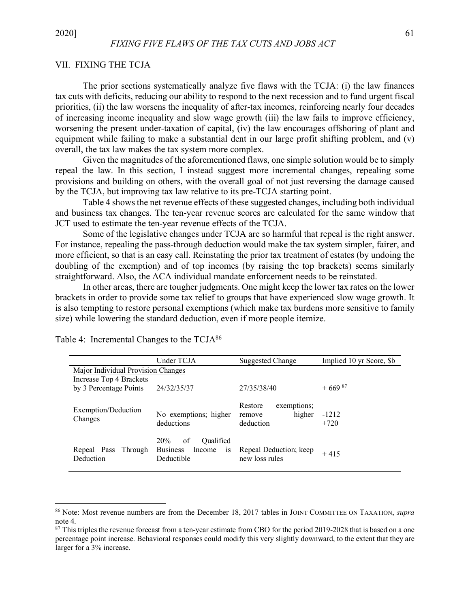# VII. FIXING THE TCJA

The prior sections systematically analyze five flaws with the TCJA: (i) the law finances tax cuts with deficits, reducing our ability to respond to the next recession and to fund urgent fiscal priorities, (ii) the law worsens the inequality of after-tax incomes, reinforcing nearly four decades of increasing income inequality and slow wage growth (iii) the law fails to improve efficiency, worsening the present under-taxation of capital, (iv) the law encourages offshoring of plant and equipment while failing to make a substantial dent in our large profit shifting problem, and (v) overall, the tax law makes the tax system more complex.

Given the magnitudes of the aforementioned flaws, one simple solution would be to simply repeal the law. In this section, I instead suggest more incremental changes, repealing some provisions and building on others, with the overall goal of not just reversing the damage caused by the TCJA, but improving tax law relative to its pre-TCJA starting point.

Table 4 shows the net revenue effects of these suggested changes, including both individual and business tax changes. The ten-year revenue scores are calculated for the same window that JCT used to estimate the ten-year revenue effects of the TCJA.

Some of the legislative changes under TCJA are so harmful that repeal is the right answer. For instance, repealing the pass-through deduction would make the tax system simpler, fairer, and more efficient, so that is an easy call. Reinstating the prior tax treatment of estates (by undoing the doubling of the exemption) and of top incomes (by raising the top brackets) seems similarly straightforward. Also, the ACA individual mandate enforcement needs to be reinstated.

In other areas, there are tougher judgments. One might keep the lower tax rates on the lower brackets in order to provide some tax relief to groups that have experienced slow wage growth. It is also tempting to restore personal exemptions (which make tax burdens more sensitive to family size) while lowering the standard deduction, even if more people itemize.

|                                     | Under TCJA                                                              | <b>Suggested Change</b>                                 | Implied 10 yr Score, \$b |
|-------------------------------------|-------------------------------------------------------------------------|---------------------------------------------------------|--------------------------|
| Major Individual Provision Changes  |                                                                         |                                                         |                          |
| Increase Top 4 Brackets             |                                                                         |                                                         |                          |
| by 3 Percentage Points              | 24/32/35/37                                                             | 27/35/38/40                                             | $+669^{87}$              |
| Exemption/Deduction<br>Changes      | No exemptions; higher<br>deductions                                     | Restore<br>exemptions;<br>higher<br>remove<br>deduction | $-1212$<br>$+720$        |
| Repeal Pass<br>Through<br>Deduction | 20%<br>of<br>Oualified<br><b>Business</b><br>Income<br>1S<br>Deductible | Repeal Deduction; keep<br>new loss rules                | $+415$                   |

Table 4: Incremental Changes to the TCJA<sup>86</sup>

 <sup>86</sup> Note: Most revenue numbers are from the December 18, 2017 tables in JOINT COMMITTEE ON TAXATION, *supra* note 4.

 $87$  This triples the revenue forecast from a ten-year estimate from CBO for the period 2019-2028 that is based on a one percentage point increase. Behavioral responses could modify this very slightly downward, to the extent that they are larger for a 3% increase.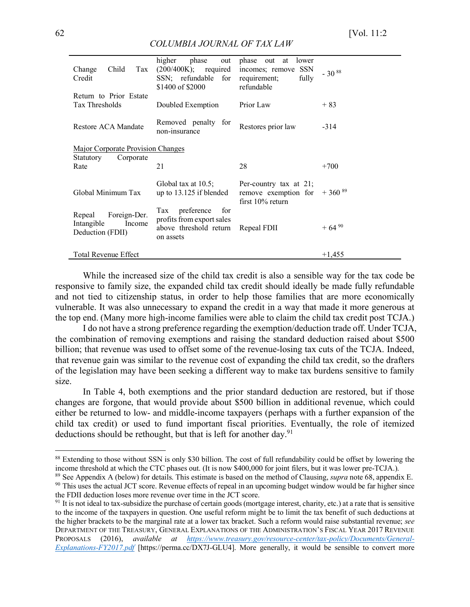|--|

| Child<br>Tax<br>Change<br>Credit                                   | higher<br>phase<br>out<br>$(200/400K)$ ; required<br>SSN; refundable for<br>\$1400 of \$2000 | phase out<br>lower<br>at<br>incomes; remove SSN<br>fully<br>requirement;<br>refundable | $-30^{88}$  |
|--------------------------------------------------------------------|----------------------------------------------------------------------------------------------|----------------------------------------------------------------------------------------|-------------|
| Return to Prior Estate<br>Tax Thresholds                           | Doubled Exemption                                                                            | Prior Law                                                                              | $+83$       |
| Restore ACA Mandate                                                | Removed penalty<br>for<br>non-insurance                                                      | Restores prior law                                                                     | $-314$      |
| Major Corporate Provision Changes                                  |                                                                                              |                                                                                        |             |
| Corporate<br>Statutory<br>Rate                                     | 21                                                                                           | 28                                                                                     | $+700$      |
| Global Minimum Tax                                                 | Global tax at $10.5$ ;<br>up to $13.125$ if blended                                          | Per-country tax at $21$ ;<br>remove exemption for<br>first $10\%$ return               | $+360^{89}$ |
| Foreign-Der.<br>Repeal<br>Intangible<br>Income<br>Deduction (FDII) | preference<br>for<br>Tax<br>profits from export sales<br>above threshold return<br>on assets | Repeal FDII                                                                            | $+64^{90}$  |
| <b>Total Revenue Effect</b>                                        |                                                                                              |                                                                                        | $+1,455$    |

While the increased size of the child tax credit is also a sensible way for the tax code be responsive to family size, the expanded child tax credit should ideally be made fully refundable and not tied to citizenship status, in order to help those families that are more economically vulnerable. It was also unnecessary to expand the credit in a way that made it more generous at the top end. (Many more high-income families were able to claim the child tax credit post TCJA.)

I do not have a strong preference regarding the exemption/deduction trade off. Under TCJA, the combination of removing exemptions and raising the standard deduction raised about \$500 billion; that revenue was used to offset some of the revenue-losing tax cuts of the TCJA. Indeed, that revenue gain was similar to the revenue cost of expanding the child tax credit, so the drafters of the legislation may have been seeking a different way to make tax burdens sensitive to family size.

In Table 4, both exemptions and the prior standard deduction are restored, but if those changes are forgone, that would provide about \$500 billion in additional revenue, which could either be returned to low- and middle-income taxpayers (perhaps with a further expansion of the child tax credit) or used to fund important fiscal priorities. Eventually, the role of itemized deductions should be rethought, but that is left for another day.<sup>91</sup>

 $88$  Extending to those without SSN is only \$30 billion. The cost of full refundability could be offset by lowering the income threshold at which the CTC phases out. (It is now \$400,000 for joint filers, but it was lower

<sup>&</sup>lt;sup>89</sup> See Appendix A (below) for details. This estimate is based on the method of Clausing, *supra* note 68, appendix E.  $90$  This uses the actual JCT score. Revenue effects of repeal in an upcoming budget window would be the FDII deduction loses more revenue over time in the JCT score.<br><sup>91</sup> It is not ideal to tax-subsidize the purchase of certain goods (mortgage interest, charity, etc.) at a rate that is sensitive

to the income of the taxpayers in question. One useful reform might be to limit the tax benefit of such deductions at the higher brackets to be the marginal rate at a lower tax bracket. Such a reform would raise substantial revenue; *see* DEPARTMENT OF THE TREASURY, GENERAL EXPLANATIONS OF THE ADMINISTRATION'S FISCAL YEAR 2017 REVENUE PROPOSALS (2016), *available at https://www.treasury.gov/resource-center/tax-policy/Documents/General-Explanations-FY2017.pdf* [https://perma.cc/DX7J-GLU4]. More generally, it would be sensible to convert more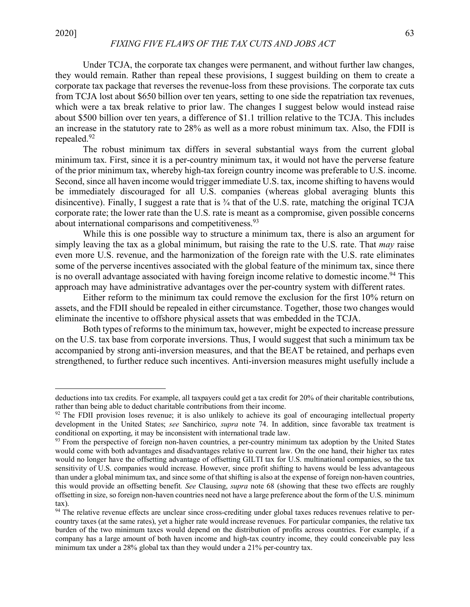$\overline{a}$ 

Under TCJA, the corporate tax changes were permanent, and without further law changes, they would remain. Rather than repeal these provisions, I suggest building on them to create a corporate tax package that reverses the revenue-loss from these provisions. The corporate tax cuts from TCJA lost about \$650 billion over ten years, setting to one side the repatriation tax revenues, which were a tax break relative to prior law. The changes I suggest below would instead raise about \$500 billion over ten years, a difference of \$1.1 trillion relative to the TCJA. This includes an increase in the statutory rate to 28% as well as a more robust minimum tax. Also, the FDII is repealed.92

The robust minimum tax differs in several substantial ways from the current global minimum tax. First, since it is a per-country minimum tax, it would not have the perverse feature of the prior minimum tax, whereby high-tax foreign country income was preferable to U.S. income. Second, since all haven income would trigger immediate U.S. tax, income shifting to havens would be immediately discouraged for all U.S. companies (whereas global averaging blunts this disincentive). Finally, I suggest a rate that is ¾ that of the U.S. rate, matching the original TCJA corporate rate; the lower rate than the U.S. rate is meant as a compromise, given possible concerns about international comparisons and competitiveness.93

While this is one possible way to structure a minimum tax, there is also an argument for simply leaving the tax as a global minimum, but raising the rate to the U.S. rate. That *may* raise even more U.S. revenue, and the harmonization of the foreign rate with the U.S. rate eliminates some of the perverse incentives associated with the global feature of the minimum tax, since there is no overall advantage associated with having foreign income relative to domestic income.<sup>94</sup> This approach may have administrative advantages over the per-country system with different rates.

Either reform to the minimum tax could remove the exclusion for the first 10% return on assets, and the FDII should be repealed in either circumstance. Together, those two changes would eliminate the incentive to offshore physical assets that was embedded in the TCJA.

Both types of reforms to the minimum tax, however, might be expected to increase pressure on the U.S. tax base from corporate inversions. Thus, I would suggest that such a minimum tax be accompanied by strong anti-inversion measures, and that the BEAT be retained, and perhaps even strengthened, to further reduce such incentives. Anti-inversion measures might usefully include a

deductions into tax credits. For example, all taxpayers could get a tax credit for 20% of their charitable contributions, rather than being able to deduct charitable contributions from their income.

 $92$  The FDII provision loses revenue; it is also unlikely to achieve its goal of encouraging intellectual property development in the United States; *see* Sanchirico, *supra* note 74. In addition, since favorable tax treatment is conditional on exporting, it may be inconsistent with international trade law.

<sup>&</sup>lt;sup>93</sup> From the perspective of foreign non-haven countries, a per-country minimum tax adoption by the United States would come with both advantages and disadvantages relative to current law. On the one hand, their higher tax rates would no longer have the offsetting advantage of offsetting GILTI tax for U.S. multinational companies, so the tax sensitivity of U.S. companies would increase. However, since profit shifting to havens would be less advantageous than under a global minimum tax, and since some of that shifting is also at the expense of foreign non-haven countries, this would provide an offsetting benefit*. See* Clausing, *supra* note 68 (showing that these two effects are roughly offsetting in size, so foreign non-haven countries need not have a large preference about the form of the U.S. minimum tax).

<sup>&</sup>lt;sup>94</sup> The relative revenue effects are unclear since cross-crediting under global taxes reduces revenues relative to percountry taxes (at the same rates), yet a higher rate would increase revenues. For particular companies, the relative tax burden of the two minimum taxes would depend on the distribution of profits across countries. For example, if a company has a large amount of both haven income and high-tax country income, they could conceivable pay less minimum tax under a 28% global tax than they would under a 21% per-country tax.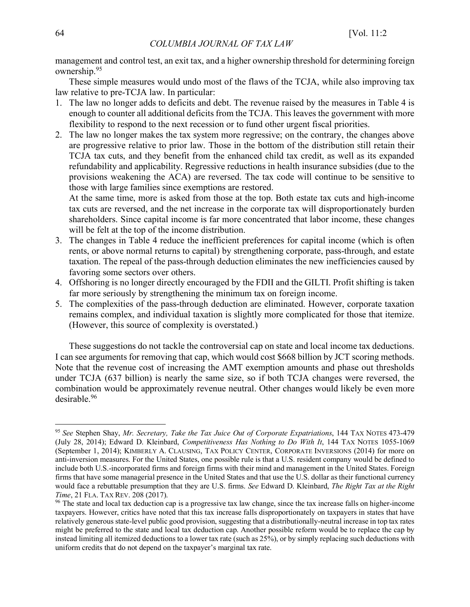management and control test, an exit tax, and a higher ownership threshold for determining foreign ownership.95

These simple measures would undo most of the flaws of the TCJA, while also improving tax law relative to pre-TCJA law. In particular:

- 1. The law no longer adds to deficits and debt. The revenue raised by the measures in Table 4 is enough to counter all additional deficits from the TCJA. This leaves the government with more flexibility to respond to the next recession or to fund other urgent fiscal priorities.
- 2. The law no longer makes the tax system more regressive; on the contrary, the changes above are progressive relative to prior law. Those in the bottom of the distribution still retain their TCJA tax cuts, and they benefit from the enhanced child tax credit, as well as its expanded refundability and applicability. Regressive reductions in health insurance subsidies (due to the provisions weakening the ACA) are reversed. The tax code will continue to be sensitive to those with large families since exemptions are restored.

At the same time, more is asked from those at the top. Both estate tax cuts and high-income tax cuts are reversed, and the net increase in the corporate tax will disproportionately burden shareholders. Since capital income is far more concentrated that labor income, these changes will be felt at the top of the income distribution.

- 3. The changes in Table 4 reduce the inefficient preferences for capital income (which is often rents, or above normal returns to capital) by strengthening corporate, pass-through, and estate taxation. The repeal of the pass-through deduction eliminates the new inefficiencies caused by favoring some sectors over others.
- 4. Offshoring is no longer directly encouraged by the FDII and the GILTI. Profit shifting is taken far more seriously by strengthening the minimum tax on foreign income.
- 5. The complexities of the pass-through deduction are eliminated. However, corporate taxation remains complex, and individual taxation is slightly more complicated for those that itemize. (However, this source of complexity is overstated.)

These suggestions do not tackle the controversial cap on state and local income tax deductions. I can see arguments for removing that cap, which would cost \$668 billion by JCT scoring methods. Note that the revenue cost of increasing the AMT exemption amounts and phase out thresholds under TCJA (637 billion) is nearly the same size, so if both TCJA changes were reversed, the combination would be approximately revenue neutral. Other changes would likely be even more desirable.96

 <sup>95</sup> *See* Stephen Shay, *Mr. Secretary, Take the Tax Juice Out of Corporate Expatriations*, 144 TAX NOTES 473-479 (July 28, 2014); Edward D. Kleinbard, *Competitiveness Has Nothing to Do With It*, 144 TAX NOTES 1055-1069 (September 1, 2014); KIMBERLY A. CLAUSING, TAX POLICY CENTER, CORPORATE INVERSIONS (2014) for more on anti-inversion measures. For the United States, one possible rule is that a U.S. resident company would be defined to include both U.S.-incorporated firms and foreign firms with their mind and management in the United States. Foreign firms that have some managerial presence in the United States and that use the U.S. dollar as their functional currency would face a rebuttable presumption that they are U.S. firms. *See* Edward D. Kleinbard, *The Right Tax at the Right Time*, 21 FLA. TAX REV. 208 (2017).

<sup>&</sup>lt;sup>96</sup> The state and local tax deduction cap is a progressive tax law change, since the tax increase falls on higher-income taxpayers. However, critics have noted that this tax increase falls disproportionately on taxpayers in states that have relatively generous state-level public good provision, suggesting that a distributionally-neutral increase in top tax rates might be preferred to the state and local tax deduction cap. Another possible reform would be to replace the cap by instead limiting all itemized deductions to a lower tax rate (such as 25%), or by simply replacing such deductions with uniform credits that do not depend on the taxpayer's marginal tax rate.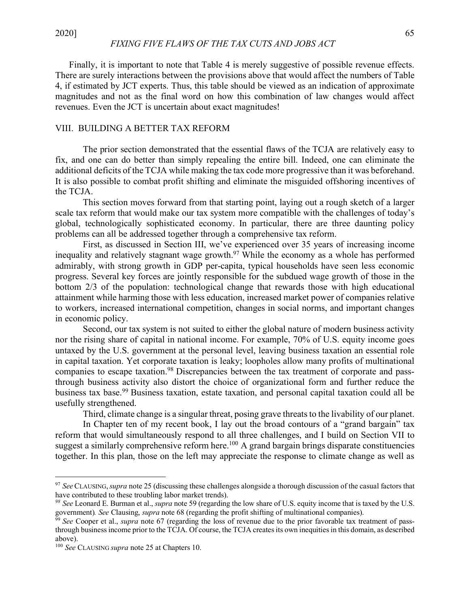Finally, it is important to note that Table 4 is merely suggestive of possible revenue effects. There are surely interactions between the provisions above that would affect the numbers of Table 4, if estimated by JCT experts. Thus, this table should be viewed as an indication of approximate magnitudes and not as the final word on how this combination of law changes would affect revenues. Even the JCT is uncertain about exact magnitudes!

# VIII. BUILDING A BETTER TAX REFORM

The prior section demonstrated that the essential flaws of the TCJA are relatively easy to fix, and one can do better than simply repealing the entire bill. Indeed, one can eliminate the additional deficits of the TCJA while making the tax code more progressive than it was beforehand. It is also possible to combat profit shifting and eliminate the misguided offshoring incentives of the TCJA.

This section moves forward from that starting point, laying out a rough sketch of a larger scale tax reform that would make our tax system more compatible with the challenges of today's global, technologically sophisticated economy. In particular, there are three daunting policy problems can all be addressed together through a comprehensive tax reform.

First, as discussed in Section III, we've experienced over 35 years of increasing income inequality and relatively stagnant wage growth.<sup>97</sup> While the economy as a whole has performed admirably, with strong growth in GDP per-capita, typical households have seen less economic progress. Several key forces are jointly responsible for the subdued wage growth of those in the bottom 2/3 of the population: technological change that rewards those with high educational attainment while harming those with less education, increased market power of companies relative to workers, increased international competition, changes in social norms, and important changes in economic policy.

Second, our tax system is not suited to either the global nature of modern business activity nor the rising share of capital in national income. For example, 70% of U.S. equity income goes untaxed by the U.S. government at the personal level, leaving business taxation an essential role in capital taxation. Yet corporate taxation is leaky; loopholes allow many profits of multinational companies to escape taxation.<sup>98</sup> Discrepancies between the tax treatment of corporate and passthrough business activity also distort the choice of organizational form and further reduce the business tax base.99 Business taxation, estate taxation, and personal capital taxation could all be usefully strengthened.

Third, climate change is a singular threat, posing grave threats to the livability of our planet.

In Chapter ten of my recent book, I lay out the broad contours of a "grand bargain" tax reform that would simultaneously respond to all three challenges, and I build on Section VII to suggest a similarly comprehensive reform here.<sup>100</sup> A grand bargain brings disparate constituencies together. In this plan, those on the left may appreciate the response to climate change as well as

 <sup>97</sup> *See* CLAUSING,*supra* note 25 (discussing these challenges alongside a thorough discussion of the casual factors that have contributed to these troubling labor market trends).

*<sup>98</sup> See* Leonard E. Burman et al., *supra* note 59 (regarding the low share of U.S. equity income that is taxed by the U.S. government). See Clausing, supra note 68 (regarding the profit shifting of multinational companies).<br><sup>99</sup> See Cooper et al., *supra* note 67 (regarding the loss of revenue due to the prior favorable tax treatment of pass-

through business income prior to the TCJA. Of course, the TCJA creates its own inequities in this domain, as described above).

<sup>100</sup> *See* CLAUSING *supra* note 25 at Chapters 10.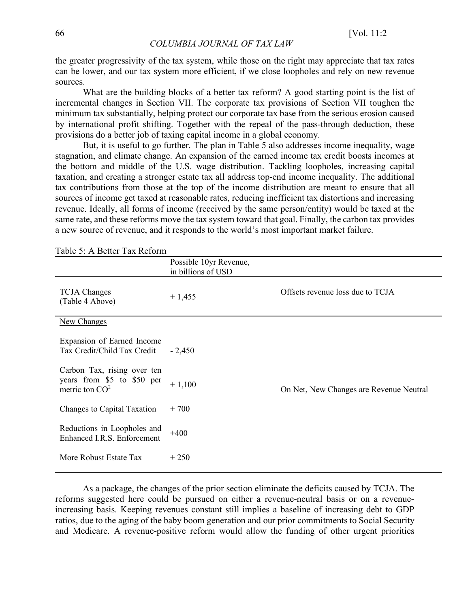the greater progressivity of the tax system, while those on the right may appreciate that tax rates can be lower, and our tax system more efficient, if we close loopholes and rely on new revenue sources.

What are the building blocks of a better tax reform? A good starting point is the list of incremental changes in Section VII. The corporate tax provisions of Section VII toughen the minimum tax substantially, helping protect our corporate tax base from the serious erosion caused by international profit shifting. Together with the repeal of the pass-through deduction, these provisions do a better job of taxing capital income in a global economy.

But, it is useful to go further. The plan in Table 5 also addresses income inequality, wage stagnation, and climate change. An expansion of the earned income tax credit boosts incomes at the bottom and middle of the U.S. wage distribution. Tackling loopholes, increasing capital taxation, and creating a stronger estate tax all address top-end income inequality. The additional tax contributions from those at the top of the income distribution are meant to ensure that all sources of income get taxed at reasonable rates, reducing inefficient tax distortions and increasing revenue. Ideally, all forms of income (received by the same person/entity) would be taxed at the same rate, and these reforms move the tax system toward that goal. Finally, the carbon tax provides a new source of revenue, and it responds to the world's most important market failure.

| Table 5: A Better Tax Reform                                                  |                                              |                                         |
|-------------------------------------------------------------------------------|----------------------------------------------|-----------------------------------------|
|                                                                               | Possible 10yr Revenue,<br>in billions of USD |                                         |
| <b>TCJA</b> Changes<br>(Table 4 Above)                                        | $+1,455$                                     | Offsets revenue loss due to TCJA        |
| <b>New Changes</b>                                                            |                                              |                                         |
| Expansion of Earned Income<br>Tax Credit/Child Tax Credit                     | $-2,450$                                     |                                         |
| Carbon Tax, rising over ten<br>years from \$5 to \$50 per<br>metric ton $CO2$ | $+1,100$                                     | On Net, New Changes are Revenue Neutral |
| Changes to Capital Taxation                                                   | $+700$                                       |                                         |
| Reductions in Loopholes and<br>Enhanced I.R.S. Enforcement                    | $+400$                                       |                                         |
| More Robust Estate Tax                                                        | $+250$                                       |                                         |

Table 5: A Better Tax Reform

As a package, the changes of the prior section eliminate the deficits caused by TCJA. The reforms suggested here could be pursued on either a revenue-neutral basis or on a revenueincreasing basis. Keeping revenues constant still implies a baseline of increasing debt to GDP ratios, due to the aging of the baby boom generation and our prior commitments to Social Security and Medicare. A revenue-positive reform would allow the funding of other urgent priorities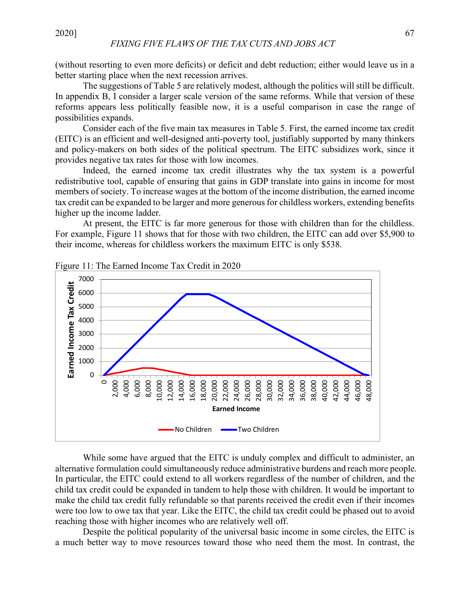(without resorting to even more deficits) or deficit and debt reduction; either would leave us in a better starting place when the next recession arrives.

The suggestions of Table 5 are relatively modest, although the politics will still be difficult. In appendix B, I consider a larger scale version of the same reforms. While that version of these reforms appears less politically feasible now, it is a useful comparison in case the range of possibilities expands.

Consider each of the five main tax measures in Table 5. First, the earned income tax credit (EITC) is an efficient and well-designed anti-poverty tool, justifiably supported by many thinkers and policy-makers on both sides of the political spectrum. The EITC subsidizes work, since it provides negative tax rates for those with low incomes.

Indeed, the earned income tax credit illustrates why the tax system is a powerful redistributive tool, capable of ensuring that gains in GDP translate into gains in income for most members of society. To increase wages at the bottom of the income distribution, the earned income tax credit can be expanded to be larger and more generous for childless workers, extending benefits higher up the income ladder.

At present, the EITC is far more generous for those with children than for the childless. For example, Figure 11 shows that for those with two children, the EITC can add over \$5,900 to their income, whereas for childless workers the maximum EITC is only \$538.

![](_page_36_Figure_7.jpeg)

Figure 11: The Earned Income Tax Credit in 2020

While some have argued that the EITC is unduly complex and difficult to administer, an alternative formulation could simultaneously reduce administrative burdens and reach more people. In particular, the EITC could extend to all workers regardless of the number of children, and the child tax credit could be expanded in tandem to help those with children. It would be important to make the child tax credit fully refundable so that parents received the credit even if their incomes were too low to owe tax that year. Like the EITC, the child tax credit could be phased out to avoid reaching those with higher incomes who are relatively well off.

Despite the political popularity of the universal basic income in some circles, the EITC is a much better way to move resources toward those who need them the most. In contrast, the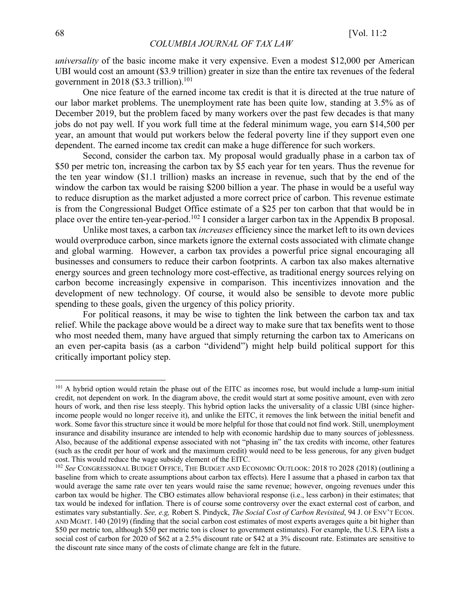*universality* of the basic income make it very expensive. Even a modest \$12,000 per American UBI would cost an amount (\$3.9 trillion) greater in size than the entire tax revenues of the federal government in 2018 (\$3.3 trillion).<sup>101</sup>

One nice feature of the earned income tax credit is that it is directed at the true nature of our labor market problems. The unemployment rate has been quite low, standing at 3.5% as of December 2019, but the problem faced by many workers over the past few decades is that many jobs do not pay well. If you work full time at the federal minimum wage, you earn \$14,500 per year, an amount that would put workers below the federal poverty line if they support even one dependent. The earned income tax credit can make a huge difference for such workers.

Second, consider the carbon tax. My proposal would gradually phase in a carbon tax of \$50 per metric ton, increasing the carbon tax by \$5 each year for ten years. Thus the revenue for the ten year window (\$1.1 trillion) masks an increase in revenue, such that by the end of the window the carbon tax would be raising \$200 billion a year. The phase in would be a useful way to reduce disruption as the market adjusted a more correct price of carbon. This revenue estimate is from the Congressional Budget Office estimate of a \$25 per ton carbon that that would be in place over the entire ten-year-period.102 I consider a larger carbon tax in the Appendix B proposal.

Unlike most taxes, a carbon tax *increases* efficiency since the market left to its own devices would overproduce carbon, since markets ignore the external costs associated with climate change and global warming. However, a carbon tax provides a powerful price signal encouraging all businesses and consumers to reduce their carbon footprints. A carbon tax also makes alternative energy sources and green technology more cost-effective, as traditional energy sources relying on carbon become increasingly expensive in comparison. This incentivizes innovation and the development of new technology. Of course, it would also be sensible to devote more public spending to these goals, given the urgency of this policy priority.

For political reasons, it may be wise to tighten the link between the carbon tax and tax relief. While the package above would be a direct way to make sure that tax benefits went to those who most needed them, many have argued that simply returning the carbon tax to Americans on an even per-capita basis (as a carbon "dividend") might help build political support for this critically important policy step.

<sup>&</sup>lt;sup>101</sup> A hybrid option would retain the phase out of the EITC as incomes rose, but would include a lump-sum initial credit, not dependent on work. In the diagram above, the credit would start at some positive amount, even with zero hours of work, and then rise less steeply. This hybrid option lacks the universality of a classic UBI (since higherincome people would no longer receive it), and unlike the EITC, it removes the link between the initial benefit and work. Some favor this structure since it would be more helpful for those that could not find work. Still, unemployment insurance and disability insurance are intended to help with economic hardship due to many sources of joblessness. Also, because of the additional expense associated with not "phasing in" the tax credits with income, other features (such as the credit per hour of work and the maximum credit) would need to be less generous, for any given budget cost. This would reduce the wage subsidy element of the EITC.

<sup>&</sup>lt;sup>102</sup> See CONGRESSIONAL BUDGET OFFICE, THE BUDGET AND ECONOMIC OUTLOOK: 2018 TO 2028 (2018) (outlining a baseline from which to create assumptions about carbon tax effects). Here I assume that a phased in carbon tax that would average the same rate over ten years would raise the same revenue; however, ongoing revenues under this carbon tax would be higher. The CBO estimates allow behavioral response (i.e., less carbon) in their estimates; that tax would be indexed for inflation. There is of course some controversy over the exact external cost of carbon, and estimates vary substantially. *See, e.g,* Robert S. Pindyck, *The Social Cost of Carbon Revisited*, 94 J. OF ENV'T ECON. AND MGMT. 140 (2019) (finding that the social carbon cost estimates of most experts averages quite a bit higher than \$50 per metric ton, although \$50 per metric ton is closer to government estimates). For example, the U.S. EPA lists a social cost of carbon for 2020 of \$62 at a 2.5% discount rate or \$42 at a 3% discount rate. Estimates are sensitive to the discount rate since many of the costs of climate change are felt in the future.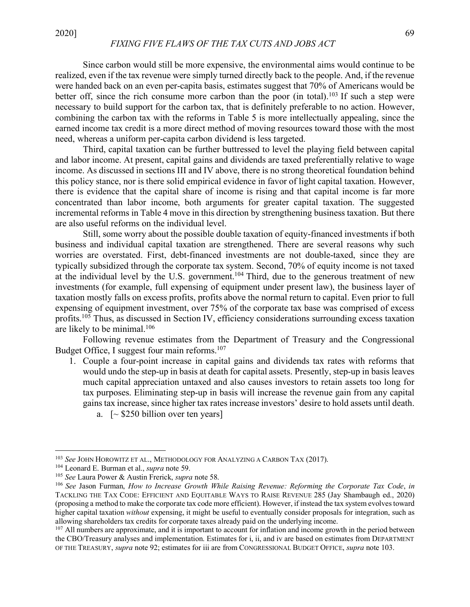# *FIXING FIVE FLAWS OF THE TAX CUTS AND JOBS ACT*

Since carbon would still be more expensive, the environmental aims would continue to be realized, even if the tax revenue were simply turned directly back to the people. And, if the revenue were handed back on an even per-capita basis, estimates suggest that 70% of Americans would be better off, since the rich consume more carbon than the poor (in total).<sup>103</sup> If such a step were necessary to build support for the carbon tax, that is definitely preferable to no action. However, combining the carbon tax with the reforms in Table 5 is more intellectually appealing, since the earned income tax credit is a more direct method of moving resources toward those with the most need, whereas a uniform per-capita carbon dividend is less targeted.

Third, capital taxation can be further buttressed to level the playing field between capital and labor income. At present, capital gains and dividends are taxed preferentially relative to wage income. As discussed in sections III and IV above, there is no strong theoretical foundation behind this policy stance, nor is there solid empirical evidence in favor of light capital taxation. However, there is evidence that the capital share of income is rising and that capital income is far more concentrated than labor income, both arguments for greater capital taxation. The suggested incremental reforms in Table 4 move in this direction by strengthening business taxation. But there are also useful reforms on the individual level.

Still, some worry about the possible double taxation of equity-financed investments if both business and individual capital taxation are strengthened. There are several reasons why such worries are overstated. First, debt-financed investments are not double-taxed, since they are typically subsidized through the corporate tax system. Second, 70% of equity income is not taxed at the individual level by the U.S. government.<sup>104</sup> Third, due to the generous treatment of new investments (for example, full expensing of equipment under present law), the business layer of taxation mostly falls on excess profits, profits above the normal return to capital. Even prior to full expensing of equipment investment, over 75% of the corporate tax base was comprised of excess profits.<sup>105</sup> Thus, as discussed in Section IV, efficiency considerations surrounding excess taxation are likely to be minimal.106

Following revenue estimates from the Department of Treasury and the Congressional Budget Office, I suggest four main reforms.<sup>107</sup>

- 1. Couple a four-point increase in capital gains and dividends tax rates with reforms that would undo the step-up in basis at death for capital assets. Presently, step-up in basis leaves much capital appreciation untaxed and also causes investors to retain assets too long for tax purposes. Eliminating step-up in basis will increase the revenue gain from any capital gains tax increase, since higher tax rates increase investors' desire to hold assets until death.
	- a.  $\lceil \sim $250 \text{ billion over ten years} \rceil$

 <sup>103</sup> *See* JOHN HOROWITZ ET AL., METHODOLOGY FOR ANALYZING A CARBON TAX (2017).

<sup>104</sup> Leonard E. Burman et al., *supra* note 59.

<sup>105</sup> *See* Laura Power & Austin Frerick, *supra* note 58.

<sup>106</sup> *See* Jason Furman, *How to Increase Growth While Raising Revenue: Reforming the Corporate Tax Code*, *in* TACKLING THE TAX CODE: EFFICIENT AND EQUITABLE WAYS TO RAISE REVENUE 285 (Jay Shambaugh ed., 2020) (proposing a method to make the corporate tax code more efficient). However, if instead the tax system evolves toward higher capital taxation *without* expensing, it might be useful to eventually consider proposals for integration, such as allowing shareholders tax credits for corporate taxes already paid on the underlying income.

<sup>&</sup>lt;sup>107</sup> All numbers are approximate, and it is important to account for inflation and income growth in the period between the CBO/Treasury analyses and implementation. Estimates for i, ii, and iv are based on estimates from DEPARTMENT OF THE TREASURY, *supra* note 92; estimates for iii are from CONGRESSIONAL BUDGET OFFICE, *supra* note 103.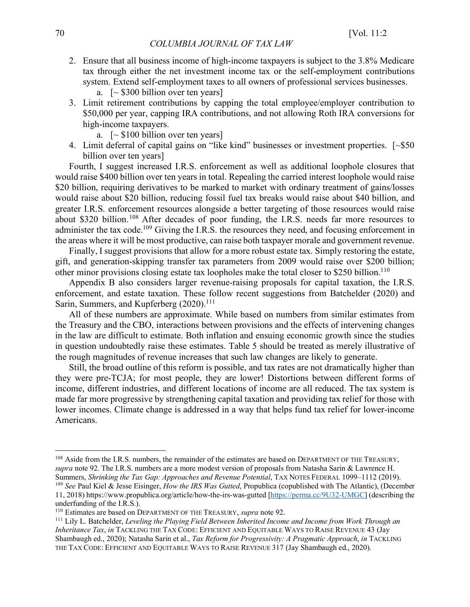- 2. Ensure that all business income of high-income taxpayers is subject to the 3.8% Medicare tax through either the net investment income tax or the self-employment contributions system. Extend self-employment taxes to all owners of professional services businesses.
	- a.  $\lceil \sim $300 \text{ billion over ten years} \rceil$
- 3. Limit retirement contributions by capping the total employee/employer contribution to \$50,000 per year, capping IRA contributions, and not allowing Roth IRA conversions for high-income taxpayers.
	- a.  $\left[\sim $100 \text{ billion over ten years}\right]$
- 4. Limit deferral of capital gains on "like kind" businesses or investment properties. [~\$50 billion over ten years]

Fourth, I suggest increased I.R.S. enforcement as well as additional loophole closures that would raise \$400 billion over ten years in total. Repealing the carried interest loophole would raise \$20 billion, requiring derivatives to be marked to market with ordinary treatment of gains/losses would raise about \$20 billion, reducing fossil fuel tax breaks would raise about \$40 billion, and greater I.R.S. enforcement resources alongside a better targeting of those resources would raise about \$320 billion.108 After decades of poor funding, the I.R.S. needs far more resources to administer the tax code.<sup>109</sup> Giving the I.R.S. the resources they need, and focusing enforcement in the areas where it will be most productive, can raise both taxpayer morale and government revenue.

Finally, I suggest provisions that allow for a more robust estate tax. Simply restoring the estate, gift, and generation-skipping transfer tax parameters from 2009 would raise over \$200 billion; other minor provisions closing estate tax loopholes make the total closer to \$250 billion.110

Appendix B also considers larger revenue-raising proposals for capital taxation, the I.R.S. enforcement, and estate taxation. These follow recent suggestions from Batchelder (2020) and Sarin, Summers, and Kupferberg (2020).<sup>111</sup>

All of these numbers are approximate. While based on numbers from similar estimates from the Treasury and the CBO, interactions between provisions and the effects of intervening changes in the law are difficult to estimate. Both inflation and ensuing economic growth since the studies in question undoubtedly raise these estimates. Table 5 should be treated as merely illustrative of the rough magnitudes of revenue increases that such law changes are likely to generate.

Still, the broad outline of this reform is possible, and tax rates are not dramatically higher than they were pre-TCJA; for most people, they are lower! Distortions between different forms of income, different industries, and different locations of income are all reduced. The tax system is made far more progressive by strengthening capital taxation and providing tax relief for those with lower incomes. Climate change is addressed in a way that helps fund tax relief for lower-income Americans.

<sup>&</sup>lt;sup>108</sup> Aside from the I.R.S. numbers, the remainder of the estimates are based on DEPARTMENT OF THE TREASURY, *supra* note 92. The I.R.S. numbers are a more modest version of proposals from Natasha Sarin & Lawrence H.

Summers, *Shrinking the Tax Gap: Approaches and Revenue Potential*, TAX NOTES FEDERAL 1099–1112 (2019).<br><sup>109</sup> See Paul Kiel & Jesse Eisinger, *How the IRS Was Gutted*, Propublica (copublished with The Atlantic), (December 11, 2018) https://www.propublica.org/article/how-the-irs-was-gutted [https://perma.cc/9U32-UMGC] (describing the underfunding of the I.R.S.).

<sup>&</sup>lt;sup>110</sup> Estimates are based on DEPARTMENT OF THE TREASURY, *supra* note 92.<br><sup>111</sup> Lily L. Batchelder, *Leveling the Playing Field Between Inherited Income and Income from Work Through an Inheritance Tax*, *in* TACKLING THE TAX CODE: EFFICIENT AND EQUITABLE WAYS TO RAISE REVENUE 43 (Jay Shambaugh ed., 2020); Natasha Sarin et al., *Tax Reform for Progressivity: A Pragmatic Approach*, *in* TACKLING THE TAX CODE: EFFICIENT AND EQUITABLE WAYS TO RAISE REVENUE 317 (Jay Shambaugh ed., 2020).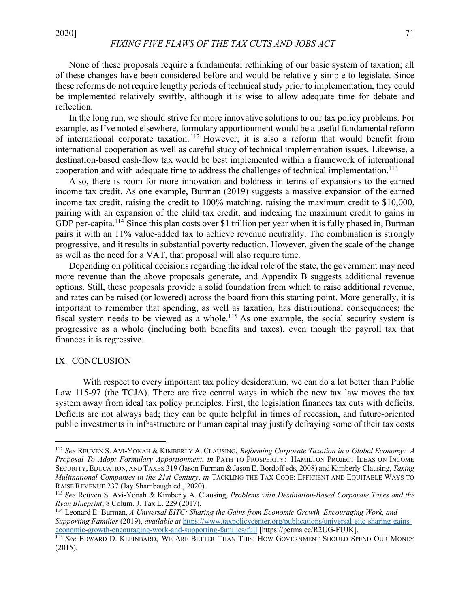None of these proposals require a fundamental rethinking of our basic system of taxation; all of these changes have been considered before and would be relatively simple to legislate. Since these reforms do not require lengthy periods of technical study prior to implementation, they could be implemented relatively swiftly, although it is wise to allow adequate time for debate and reflection.

In the long run, we should strive for more innovative solutions to our tax policy problems. For example, as I've noted elsewhere, formulary apportionment would be a useful fundamental reform of international corporate taxation. <sup>112</sup> However, it is also a reform that would benefit from international cooperation as well as careful study of technical implementation issues. Likewise, a destination-based cash-flow tax would be best implemented within a framework of international cooperation and with adequate time to address the challenges of technical implementation.<sup>113</sup>

Also, there is room for more innovation and boldness in terms of expansions to the earned income tax credit. As one example, Burman (2019) suggests a massive expansion of the earned income tax credit, raising the credit to 100% matching, raising the maximum credit to \$10,000, pairing with an expansion of the child tax credit, and indexing the maximum credit to gains in GDP per-capita.<sup>114</sup> Since this plan costs over \$1 trillion per year when it is fully phased in, Burman pairs it with an 11% value-added tax to achieve revenue neutrality. The combination is strongly progressive, and it results in substantial poverty reduction. However, given the scale of the change as well as the need for a VAT, that proposal will also require time.

Depending on political decisions regarding the ideal role of the state, the government may need more revenue than the above proposals generate, and Appendix B suggests additional revenue options. Still, these proposals provide a solid foundation from which to raise additional revenue, and rates can be raised (or lowered) across the board from this starting point. More generally, it is important to remember that spending, as well as taxation, has distributional consequences; the fiscal system needs to be viewed as a whole.<sup>115</sup> As one example, the social security system is progressive as a whole (including both benefits and taxes), even though the payroll tax that finances it is regressive.

#### IX. CONCLUSION

With respect to every important tax policy desideratum, we can do a lot better than Public Law 115-97 (the TCJA). There are five central ways in which the new tax law moves the tax system away from ideal tax policy principles. First, the legislation finances tax cuts with deficits. Deficits are not always bad; they can be quite helpful in times of recession, and future-oriented public investments in infrastructure or human capital may justify defraying some of their tax costs

 <sup>112</sup> *See* REUVEN S. AVI-YONAH & KIMBERLY A. CLAUSING, *Reforming Corporate Taxation in a Global Economy: <sup>A</sup> Proposal To Adopt Formulary Apportionment*, *in* PATH TO PROSPERITY: HAMILTON PROJECT IDEAS ON INCOME SECURITY, EDUCATION, AND TAXES 319 (Jason Furman & Jason E. Bordoff eds, 2008) and Kimberly Clausing, *Taxing Multinational Companies in the 21st Century*, *in* TACKLING THE TAX CODE: EFFICIENT AND EQUITABLE WAYS TO RAISE REVENUE 237 (Jay Shambaugh ed., 2020).<br><sup>113</sup> *See* Reuven S. Avi-Yonah & Kimberly A. Clausing, *Problems with Destination-Based Corporate Taxes and the* 

*Ryan Blueprint*, 8 Colum. J. Tax L. 229 (2017).

<sup>114</sup> Leonard E. Burman, *A Universal EITC: Sharing the Gains from Economic Growth, Encouraging Work, and Supporting Families* (2019), *available at https://www.taxpolicycenter.org/publications/universal-eitc-sharing-gains-economic-growth-encouraging-work-and-supporting-families/full [https://perma.cc/R2UG-FUJK].* 

<sup>115</sup> See EDWARD D. KLEINBARD, WE ARE BETTER THAN THIS: HOW GOVERNMENT SHOULD SPEND OUR MONEY (2015).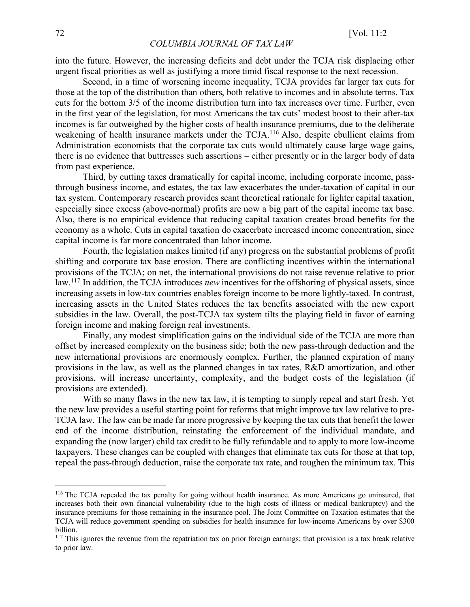into the future. However, the increasing deficits and debt under the TCJA risk displacing other urgent fiscal priorities as well as justifying a more timid fiscal response to the next recession.

Second, in a time of worsening income inequality, TCJA provides far larger tax cuts for those at the top of the distribution than others, both relative to incomes and in absolute terms. Tax cuts for the bottom 3/5 of the income distribution turn into tax increases over time. Further, even in the first year of the legislation, for most Americans the tax cuts' modest boost to their after-tax incomes is far outweighed by the higher costs of health insurance premiums, due to the deliberate weakening of health insurance markets under the TCJA.<sup>116</sup> Also, despite ebullient claims from Administration economists that the corporate tax cuts would ultimately cause large wage gains, there is no evidence that buttresses such assertions – either presently or in the larger body of data from past experience.

Third, by cutting taxes dramatically for capital income, including corporate income, passthrough business income, and estates, the tax law exacerbates the under-taxation of capital in our tax system. Contemporary research provides scant theoretical rationale for lighter capital taxation, especially since excess (above-normal) profits are now a big part of the capital income tax base. Also, there is no empirical evidence that reducing capital taxation creates broad benefits for the economy as a whole. Cuts in capital taxation do exacerbate increased income concentration, since capital income is far more concentrated than labor income.

Fourth, the legislation makes limited (if any) progress on the substantial problems of profit shifting and corporate tax base erosion. There are conflicting incentives within the international provisions of the TCJA; on net, the international provisions do not raise revenue relative to prior law.117 In addition, the TCJA introduces *new* incentives for the offshoring of physical assets, since increasing assets in low-tax countries enables foreign income to be more lightly-taxed. In contrast, increasing assets in the United States reduces the tax benefits associated with the new export subsidies in the law. Overall, the post-TCJA tax system tilts the playing field in favor of earning foreign income and making foreign real investments.

Finally, any modest simplification gains on the individual side of the TCJA are more than offset by increased complexity on the business side; both the new pass-through deduction and the new international provisions are enormously complex. Further, the planned expiration of many provisions in the law, as well as the planned changes in tax rates, R&D amortization, and other provisions, will increase uncertainty, complexity, and the budget costs of the legislation (if provisions are extended).

With so many flaws in the new tax law, it is tempting to simply repeal and start fresh. Yet the new law provides a useful starting point for reforms that might improve tax law relative to pre-TCJA law. The law can be made far more progressive by keeping the tax cuts that benefit the lower end of the income distribution, reinstating the enforcement of the individual mandate, and expanding the (now larger) child tax credit to be fully refundable and to apply to more low-income taxpayers. These changes can be coupled with changes that eliminate tax cuts for those at that top, repeal the pass-through deduction, raise the corporate tax rate, and toughen the minimum tax. This

<sup>&</sup>lt;sup>116</sup> The TCJA repealed the tax penalty for going without health insurance. As more Americans go uninsured, that increases both their own financial vulnerability (due to the high costs of illness or medical bankruptcy) and the insurance premiums for those remaining in the insurance pool. The Joint Committee on Taxation estimates that the TCJA will reduce government spending on subsidies for health insurance for low-income Americans by over \$300 billion.

 $117$  This ignores the revenue from the repatriation tax on prior foreign earnings; that provision is a tax break relative to prior law.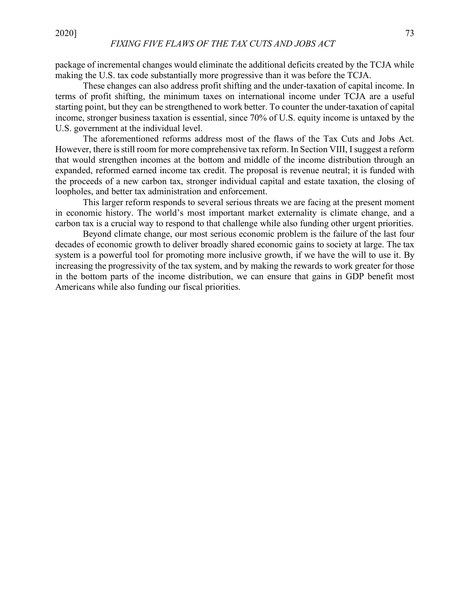package of incremental changes would eliminate the additional deficits created by the TCJA while making the U.S. tax code substantially more progressive than it was before the TCJA.

These changes can also address profit shifting and the under-taxation of capital income. In terms of profit shifting, the minimum taxes on international income under TCJA are a useful starting point, but they can be strengthened to work better. To counter the under-taxation of capital income, stronger business taxation is essential, since 70% of U.S. equity income is untaxed by the U.S. government at the individual level.

The aforementioned reforms address most of the flaws of the Tax Cuts and Jobs Act. However, there is still room for more comprehensive tax reform. In Section VIII, I suggest a reform that would strengthen incomes at the bottom and middle of the income distribution through an expanded, reformed earned income tax credit. The proposal is revenue neutral; it is funded with the proceeds of a new carbon tax, stronger individual capital and estate taxation, the closing of loopholes, and better tax administration and enforcement.

This larger reform responds to several serious threats we are facing at the present moment in economic history. The world's most important market externality is climate change, and a carbon tax is a crucial way to respond to that challenge while also funding other urgent priorities.

Beyond climate change, our most serious economic problem is the failure of the last four decades of economic growth to deliver broadly shared economic gains to society at large. The tax system is a powerful tool for promoting more inclusive growth, if we have the will to use it. By increasing the progressivity of the tax system, and by making the rewards to work greater for those in the bottom parts of the income distribution, we can ensure that gains in GDP benefit most Americans while also funding our fiscal priorities.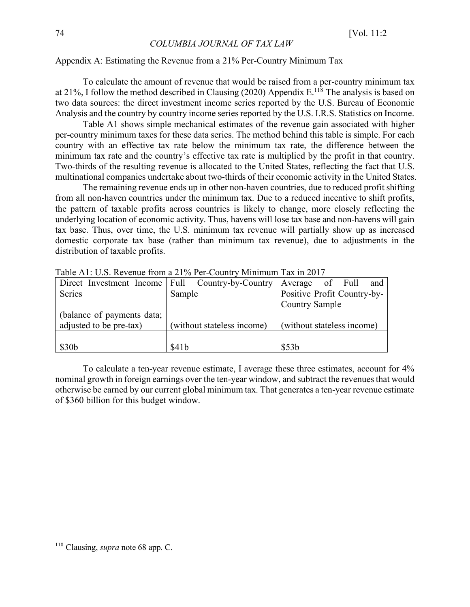#### Appendix A: Estimating the Revenue from a 21% Per-Country Minimum Tax

To calculate the amount of revenue that would be raised from a per-country minimum tax at 21%, I follow the method described in Clausing (2020) Appendix  $E^{118}$  The analysis is based on two data sources: the direct investment income series reported by the U.S. Bureau of Economic Analysis and the country by country income series reported by the U.S. I.R.S. Statistics on Income.

Table A1 shows simple mechanical estimates of the revenue gain associated with higher per-country minimum taxes for these data series. The method behind this table is simple. For each country with an effective tax rate below the minimum tax rate, the difference between the minimum tax rate and the country's effective tax rate is multiplied by the profit in that country. Two-thirds of the resulting revenue is allocated to the United States, reflecting the fact that U.S. multinational companies undertake about two-thirds of their economic activity in the United States.

The remaining revenue ends up in other non-haven countries, due to reduced profit shifting from all non-haven countries under the minimum tax. Due to a reduced incentive to shift profits, the pattern of taxable profits across countries is likely to change, more closely reflecting the underlying location of economic activity. Thus, havens will lose tax base and non-havens will gain tax base. Thus, over time, the U.S. minimum tax revenue will partially show up as increased domestic corporate tax base (rather than minimum tax revenue), due to adjustments in the distribution of taxable profits.

|                                                    | TAUIU / M. O.D. INOVUHUU ITUHI A 2170 I UFUUAHII Y IVIHIHIIHIII TAA III 2017 |                              |
|----------------------------------------------------|------------------------------------------------------------------------------|------------------------------|
| Direct Investment Income   Full Country-by-Country |                                                                              | Average<br>Full<br>of<br>and |
| Series                                             | Sample                                                                       | Positive Profit Country-by-  |
|                                                    |                                                                              | <b>Country Sample</b>        |
| (balance of payments data;                         |                                                                              |                              |
| adjusted to be pre-tax)                            | (without stateless income)                                                   | (without stateless income)   |
|                                                    |                                                                              |                              |
| \$30 <sub>b</sub>                                  | \$41b                                                                        | \$53b                        |

Table A1: U.S. Revenue from a 21% Per-Country Minimum Tax in 2017

To calculate a ten-year revenue estimate, I average these three estimates, account for 4% nominal growth in foreign earnings over the ten-year window, and subtract the revenues that would otherwise be earned by our current global minimum tax. That generates a ten-year revenue estimate of \$360 billion for this budget window.

 <sup>118</sup> Clausing, *supra* note 68 app. C.